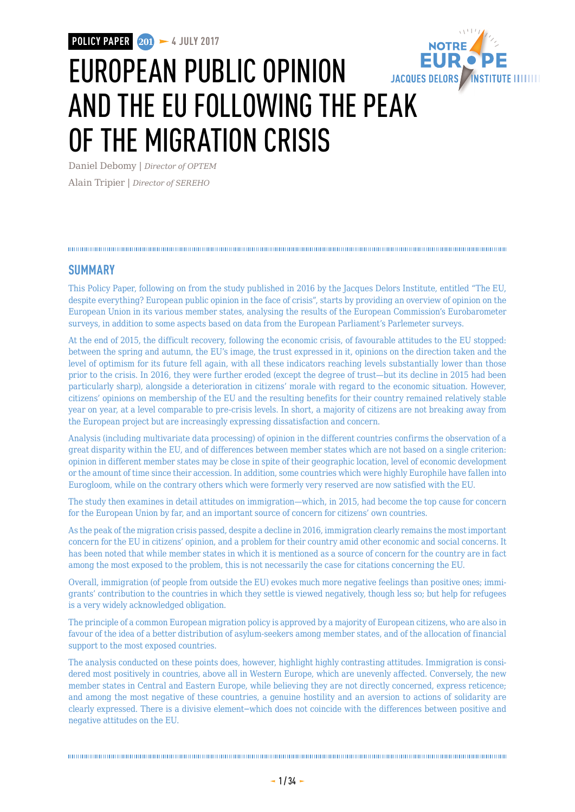**POLICY PAPER 201 4 JULY 2017**



# EUROPEAN PUBLIC OPINION AND THE EU FOLLOWING THE PEAK OF THE MIGRATION CRISIS

Daniel Debomy | *Director of OPTEM* Alain Tripier | *Director of SEREHO*

## 

### **SUMMARY**

This Policy Paper, following on from the study published in 2016 by the Jacques Delors Institute, entitled "The EU, despite everything? European public opinion in the face of crisis", starts by providing an overview of opinion on the European Union in its various member states, analysing the results of the European Commission's Eurobarometer surveys, in addition to some aspects based on data from the European Parliament's Parlemeter surveys.

At the end of 2015, the difficult recovery, following the economic crisis, of favourable attitudes to the EU stopped: between the spring and autumn, the EU's image, the trust expressed in it, opinions on the direction taken and the level of optimism for its future fell again, with all these indicators reaching levels substantially lower than those prior to the crisis. In 2016, they were further eroded (except the degree of trust—but its decline in 2015 had been particularly sharp), alongside a deterioration in citizens' morale with regard to the economic situation. However, citizens' opinions on membership of the EU and the resulting benefits for their country remained relatively stable year on year, at a level comparable to pre-crisis levels. In short, a majority of citizens are not breaking away from the European project but are increasingly expressing dissatisfaction and concern.

Analysis (including multivariate data processing) of opinion in the different countries confirms the observation of a great disparity within the EU, and of differences between member states which are not based on a single criterion: opinion in different member states may be close in spite of their geographic location, level of economic development or the amount of time since their accession. In addition, some countries which were highly Europhile have fallen into Eurogloom, while on the contrary others which were formerly very reserved are now satisfied with the EU.

The study then examines in detail attitudes on immigration—which, in 2015, had become the top cause for concern for the European Union by far, and an important source of concern for citizens' own countries.

As the peak of the migration crisis passed, despite a decline in 2016, immigration clearly remains the most important concern for the EU in citizens' opinion, and a problem for their country amid other economic and social concerns. It has been noted that while member states in which it is mentioned as a source of concern for the country are in fact among the most exposed to the problem, this is not necessarily the case for citations concerning the EU.

Overall, immigration (of people from outside the EU) evokes much more negative feelings than positive ones; immigrants' contribution to the countries in which they settle is viewed negatively, though less so; but help for refugees is a very widely acknowledged obligation.

The principle of a common European migration policy is approved by a majority of European citizens, who are also in favour of the idea of a better distribution of asylum-seekers among member states, and of the allocation of financial support to the most exposed countries.

The analysis conducted on these points does, however, highlight highly contrasting attitudes. Immigration is considered most positively in countries, above all in Western Europe, which are unevenly affected. Conversely, the new member states in Central and Eastern Europe, while believing they are not directly concerned, express reticence; and among the most negative of these countries, a genuine hostility and an aversion to actions of solidarity are clearly expressed. There is a divisive element−which does not coincide with the differences between positive and negative attitudes on the EU.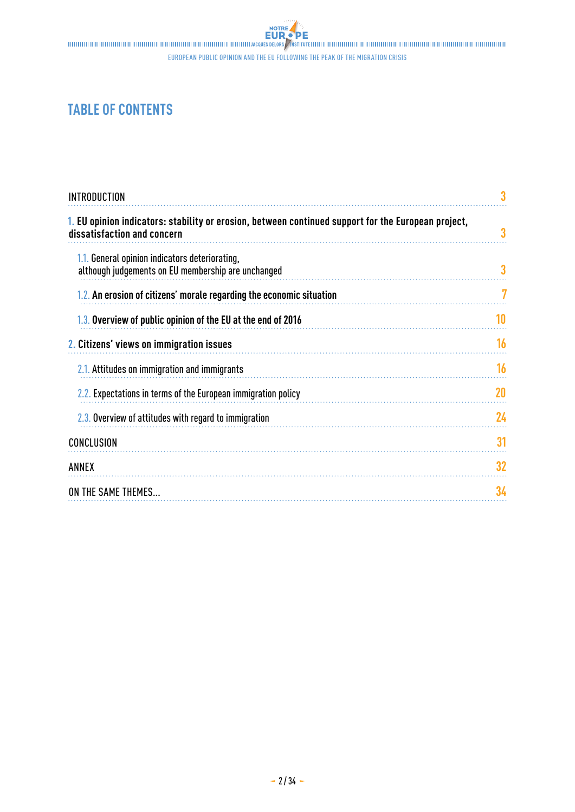european public opinion and the eu following the peak of the migration crisis

## **TABLE OF CONTENTS**

| <b>INTRODUCTION</b>                                                                                                                |    |
|------------------------------------------------------------------------------------------------------------------------------------|----|
| 1. EU opinion indicators: stability or erosion, between continued support for the European project,<br>dissatisfaction and concern | 3  |
| 1.1. General opinion indicators deteriorating,<br>although judgements on EU membership are unchanged                               |    |
| 1.2. An erosion of citizens' morale regarding the economic situation                                                               | 7  |
| 1.3. Overview of public opinion of the EU at the end of 2016                                                                       | 10 |
| 2. Citizens' views on immigration issues                                                                                           | 16 |
| 2.1. Attitudes on immigration and immigrants                                                                                       | 16 |
| 2.2. Expectations in terms of the European immigration policy                                                                      | 20 |
| 2.3. Overview of attitudes with regard to immigration                                                                              | 24 |
| CONCLUSION                                                                                                                         | 31 |
| ANNEX                                                                                                                              | 32 |
| ON THE SAME THEMES                                                                                                                 | 34 |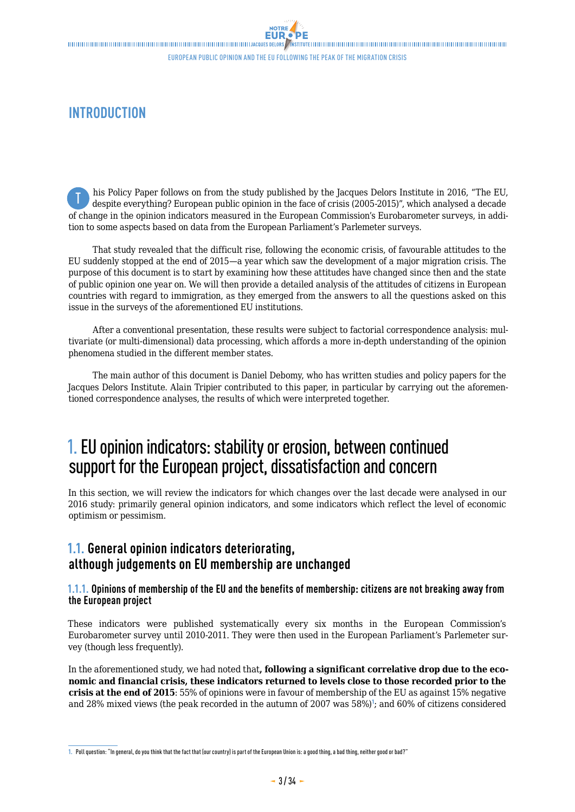## <span id="page-2-0"></span>**INTRODUCTION**

his Policy Paper follows on from the study published by the Jacques Delors Institute in 2016, "The EU, despite everything? European public opinion in the face of crisis (2005-2015)", which analysed a decade of change in the opinion indicators measured in the European Commission's Eurobarometer surveys, in addition to some aspects based on data from the European Parliament's Parlemeter surveys. T

That study revealed that the difficult rise, following the economic crisis, of favourable attitudes to the EU suddenly stopped at the end of 2015—a year which saw the development of a major migration crisis. The purpose of this document is to start by examining how these attitudes have changed since then and the state of public opinion one year on. We will then provide a detailed analysis of the attitudes of citizens in European countries with regard to immigration, as they emerged from the answers to all the questions asked on this issue in the surveys of the aforementioned EU institutions.

After a conventional presentation, these results were subject to factorial correspondence analysis: multivariate (or multi-dimensional) data processing, which affords a more in-depth understanding of the opinion phenomena studied in the different member states.

The main author of this document is Daniel Debomy, who has written studies and policy papers for the Jacques Delors Institute. Alain Tripier contributed to this paper, in particular by carrying out the aforementioned correspondence analyses, the results of which were interpreted together.

## 1. EU opinion indicators: stability or erosion, between continued support for the European project, dissatisfaction and concern

In this section, we will review the indicators for which changes over the last decade were analysed in our 2016 study: primarily general opinion indicators, and some indicators which reflect the level of economic optimism or pessimism.

### **1.1. General opinion indicators deteriorating, although judgements on EU membership are unchanged**

### **1.1.1. Opinions of membership of the EU and the benefits of membership: citizens are not breaking away from the European project**

These indicators were published systematically every six months in the European Commission's Eurobarometer survey until 2010-2011. They were then used in the European Parliament's Parlemeter survey (though less frequently).

In the aforementioned study, we had noted that**, following a significant correlative drop due to the economic and financial crisis, these indicators returned to levels close to those recorded prior to the crisis at the end of 2015**: 55% of opinions were in favour of membership of the EU as against 15% negative and 28% mixed views (the peak recorded in the autumn of 2007 was 58%)<sup>1</sup>; and 60% of citizens considered

**<sup>1.</sup>** Poll question: "In general, do you think that the fact that (our country) is part of the European Union is: a good thing, a bad thing, neither good or bad?"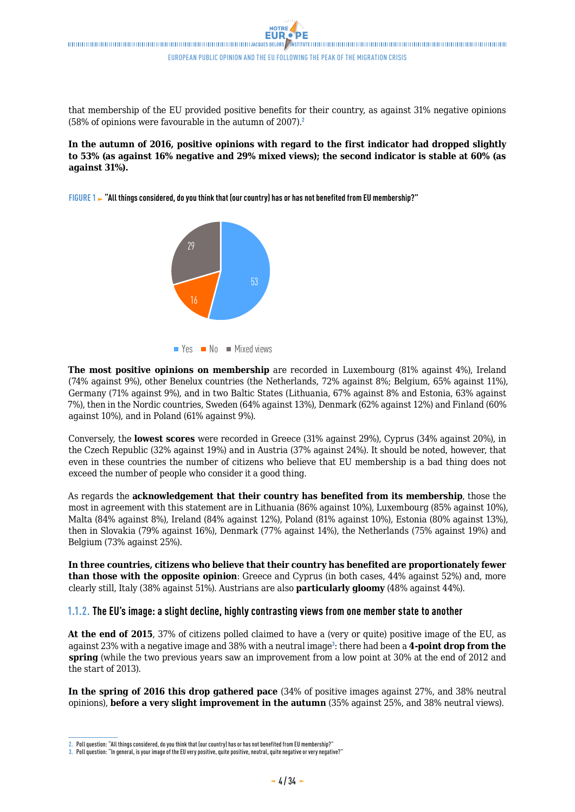that membership of the EU provided positive benefits for their country, as against 31% negative opinions (58% of opinions were favourable in the autumn of  $2007$ ).<sup>2</sup>

### **In the autumn of 2016, positive opinions with regard to the first indicator had dropped slightly to 53% (as against 16% negative and 29% mixed views); the second indicator is stable at 60% (as against 31%).**

**FIGURE 1 "All things considered, do you think that (our country) has or has not benefited from EU membership?"** Jugement sur l'appartenance à l'UE





**The most positive opinions on membership** are recorded in Luxembourg (81% against 4%), Ireland (74% against 9%), other Benelux countries (the Netherlands, 72% against 8%; Belgium, 65% against 11%), Germany (71% against 9%), and in two Baltic States (Lithuania, 67% against 8% and Estonia, 63% against 7%), then in the Nordic countries, Sweden (64% against 13%), Denmark (62% against 12%) and Finland (60% against 10%), and in Poland (61% against 9%).

Conversely, the **lowest scores** were recorded in Greece (31% against 29%), Cyprus (34% against 20%), in the Czech Republic (32% against 19%) and in Austria (37% against 24%). It should be noted, however, that even in these countries the number of citizens who believe that EU membership is a bad thing does not exceed the number of people who consider it a good thing.

As regards the **acknowledgement that their country has benefited from its membership**, those the most in agreement with this statement are in Lithuania (86% against 10%), Luxembourg (85% against 10%), Malta (84% against 8%), Ireland (84% against 12%), Poland (81% against 10%), Estonia (80% against 13%), then in Slovakia (79% against 16%), Denmark (77% against 14%), the Netherlands (75% against 19%) and Belgium (73% against 25%).

**In three countries, citizens who believe that their country has benefited are proportionately fewer than those with the opposite opinion**: Greece and Cyprus (in both cases, 44% against 52%) and, more clearly still, Italy (38% against 51%). Austrians are also **particularly gloomy** (48% against 44%).

### **1.1.2. The EU's image: a slight decline, highly contrasting views from one member state to another**

**At the end of 2015**, 37% of citizens polled claimed to have a (very or quite) positive image of the EU, as against 23% with a negative image and 38% with a neutral image<sup>3</sup>: there had been a **4-point drop from the spring** (while the two previous years saw an improvement from a low point at 30% at the end of 2012 and the start of 2013).

**In the spring of 2016 this drop gathered pace** (34% of positive images against 27%, and 38% neutral opinions), **before a very slight improvement in the autumn** (35% against 25%, and 38% neutral views).

**<sup>2.</sup>** Poll question: "All things considered, do you think that (our country) has or has not benefited from EU membership?"

<sup>3.</sup> Poll question: "In general, is your image of the EU very positive, quite positive, neutral, quite negative or very negative?"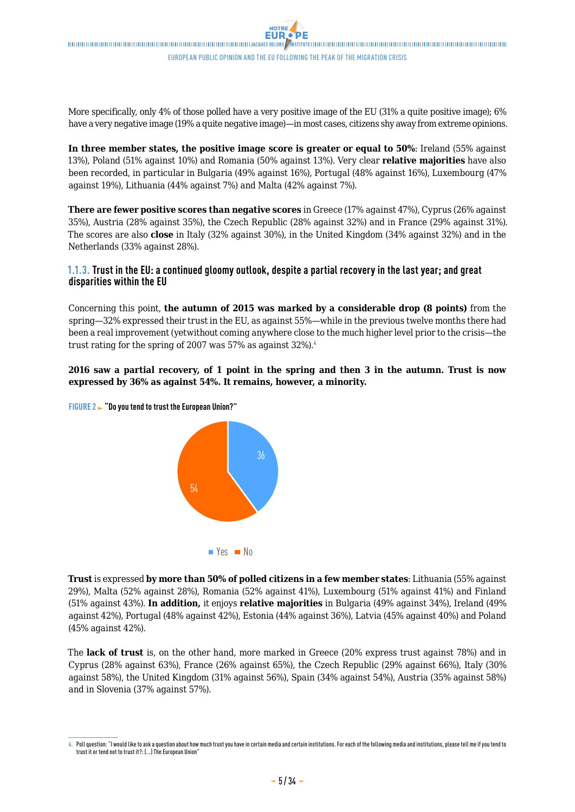More specifically, only 4% of those polled have a very positive image of the EU (31% a quite positive image); 6% have a very negative image (19% a quite negative image)—in most cases, citizens shy away from extreme opinions.

**In three member states, the positive image score is greater or equal to 50%**: Ireland (55% against 13%), Poland (51% against 10%) and Romania (50% against 13%). Very clear **relative majorities** have also been recorded, in particular in Bulgaria (49% against 16%), Portugal (48% against 16%), Luxembourg (47% against 19%), Lithuania (44% against 7%) and Malta (42% against 7%).

**There are fewer positive scores than negative scores** in Greece (17% against 47%), Cyprus (26% against 35%), Austria (28% against 35%), the Czech Republic (28% against 32%) and in France (29% against 31%). The scores are also **close** in Italy (32% against 30%), in the United Kingdom (34% against 32%) and in the Netherlands (33% against 28%).

### **1.1.3. Trust in the EU: a continued gloomy outlook, despite a partial recovery in the last year; and great disparities within the EU**

Concerning this point, **the autumn of 2015 was marked by a considerable drop (8 points)** from the spring—32% expressed their trust in the EU, as against 55%—while in the previous twelve months there had been a real improvement (yetwithout coming anywhere close to the much higher level prior to the crisis—the trust rating for the spring of 2007 was 57% as against 32%).<sup>4</sup>

### **2016 saw a partial recovery, of 1 point in the spring and then 3 in the autumn. Trust is now expressed by 36% as against 54%. It remains, however, a minority.**





**Trust** is expressed **by more than 50% of polled citizens in a few member states**: Lithuania (55% against 29%), Malta (52% against 28%), Romania (52% against 41%), Luxembourg (51% against 41%) and Finland (51% against 43%). **In addition,** it enjoys **relative majorities** in Bulgaria (49% against 34%), Ireland (49% against 42%), Portugal (48% against 42%), Estonia (44% against 36%), Latvia (45% against 40%) and Poland (45% against 42%).

The **lack of trust** is, on the other hand, more marked in Greece (20% express trust against 78%) and in Cyprus (28% against 63%), France (26% against 65%), the Czech Republic (29% against 66%), Italy (30% against 58%), the United Kingdom (31% against 56%), Spain (34% against 54%), Austria (35% against 58%) and in Slovenia (37% against 57%).

**<sup>4.</sup>** Poll question: "I would like to ask a question about how much trust you have in certain media and certain institutions. For each of the following media and institutions, please tell me if you tend to trust it or tend not to trust it?: (...) The European Union"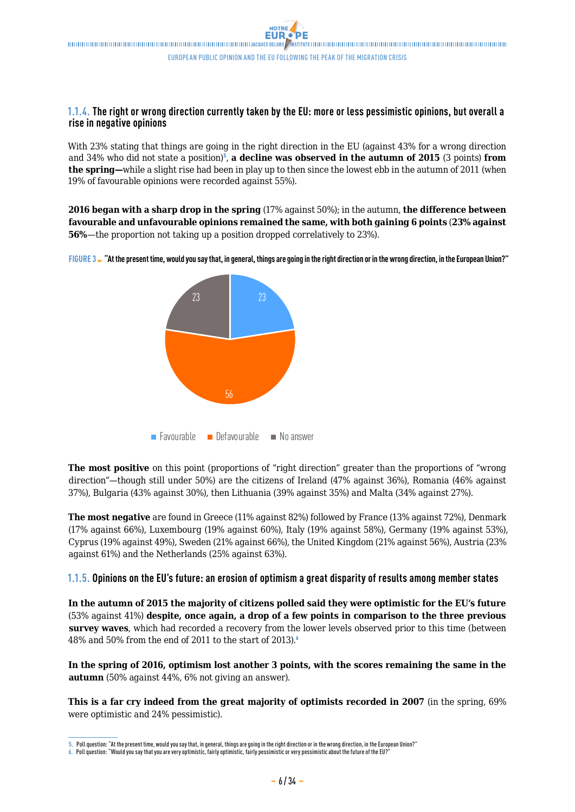### **1.1.4. The right or wrong direction currently taken by the EU: more or less pessimistic opinions, but overall a rise in negative opinions**

With 23% stating that things are going in the right direction in the EU (against 43% for a wrong direction and 34% who did not state a position)<sup>5</sup>, a decline was observed in the autumn of 2015 (3 points) from **the spring—**while a slight rise had been in play up to then since the lowest ebb in the autumn of 2011 (when 19% of favourable opinions were recorded against 55%).

**2016 began with a sharp drop in the spring** (17% against 50%); in the autumn, **the difference between favourable and unfavourable opinions remained the same, with both gaining 6 points** (**23% against 56%—the proportion not taking up a position dropped correlatively to 23%).** 





**The most positive** on this point (proportions of "right direction" greater than the proportions of "wrong direction"—though still under 50%) are the citizens of Ireland (47% against 36%), Romania (46% against 37%), Bulgaria (43% against 30%), then Lithuania (39% against 35%) and Malta (34% against 27%).

**The most negative** are found in Greece (11% against 82%) followed by France (13% against 72%), Denmark (17% against 66%), Luxembourg (19% against 60%), Italy (19% against 58%), Germany (19% against 53%), Cyprus (19% against 49%), Sweden (21% against 66%), the United Kingdom (21% against 56%), Austria (23% against 61%) and the Netherlands (25% against 63%).

### **1.1.5. Opinions on the EU's future: an erosion of optimism a great disparity of results among member states**

**In the autumn of 2015 the majority of citizens polled said they were optimistic for the EU's future**  (53% against 41%) **despite, once again, a drop of a few points in comparison to the three previous survey waves**, which had recorded a recovery from the lower levels observed prior to this time (between 48% and 50% from the end of 2011 to the start of 2013).<sup>6</sup>

**In the spring of 2016, optimism lost another 3 points, with the scores remaining the same in the autumn** (50% against 44%, 6% not giving an answer).

**This is a far cry indeed from the great majority of optimists recorded in 2007** (in the spring, 69% were optimistic and 24% pessimistic).

**<sup>5.</sup>** Poll question: "At the present time, would you say that, in general, things are going in the right direction or in the wrong direction, in the European Union?"

**<sup>6.</sup>** Poll question: "Would you say that you are very optimistic, fairly optimistic, fairly pessimistic or very pessimistic about the future of the EU?"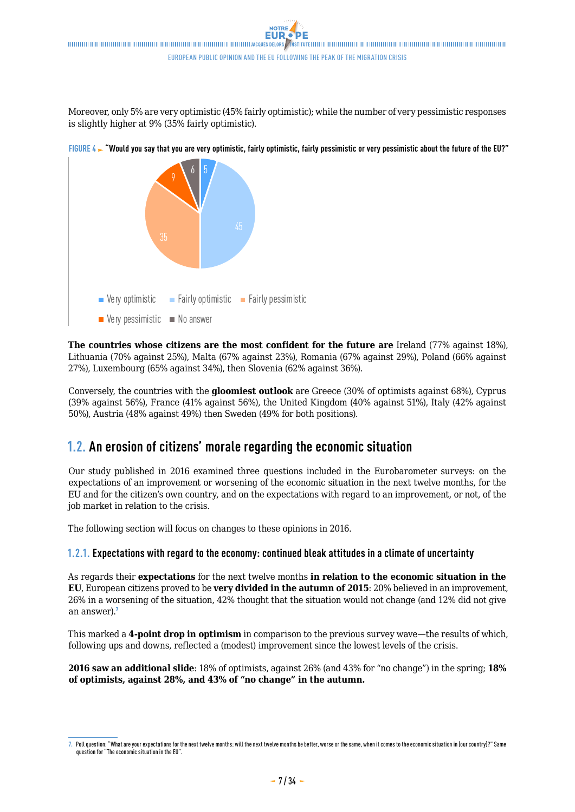<span id="page-6-0"></span>Moreover, only 5% are very optimistic (45% fairly optimistic); while the number of very pessimistic responses is slightly higher at 9% (35% fairly optimistic).



**FIGURE 4 "Would you say that you are very optimistic, fairly optimistic, fairly pessimistic or very pessimistic about the future of the EU?"**

**The countries whose citizens are the most confident for the future are** Ireland (77% against 18%), Lithuania (70% against 25%), Malta (67% against 23%), Romania (67% against 29%), Poland (66% against 27%), Luxembourg (65% against 34%), then Slovenia (62% against 36%).

Conversely, the countries with the **gloomiest outlook** are Greece (30% of optimists against 68%), Cyprus (39% against 56%), France (41% against 56%), the United Kingdom (40% against 51%), Italy (42% against 50%), Austria (48% against 49%) then Sweden (49% for both positions).

### **1.2. An erosion of citizens' morale regarding the economic situation**

Our study published in 2016 examined three questions included in the Eurobarometer surveys: on the expectations of an improvement or worsening of the economic situation in the next twelve months, for the EU and for the citizen's own country, and on the expectations with regard to an improvement, or not, of the job market in relation to the crisis.

The following section will focus on changes to these opinions in 2016.

### **1.2.1. Expectations with regard to the economy: continued bleak attitudes in a climate of uncertainty**

As regards their **expectations** for the next twelve months **in relation to the economic situation in the EU**, European citizens proved to be **very divided in the autumn of 2015**: 20% believed in an improvement, 26% in a worsening of the situation, 42% thought that the situation would not change (and 12% did not give an answer).<sup>7</sup>

This marked a **4-point drop in optimism** in comparison to the previous survey wave—the results of which, following ups and downs, reflected a (modest) improvement since the lowest levels of the crisis.

**2016 saw an additional slide**: 18% of optimists, against 26% (and 43% for "no change") in the spring; **18% of optimists, against 28%, and 43% of "no change" in the autumn.**

**<sup>7.</sup>** Poll question: "What are your expectations for the next twelve months: will the next twelve months be better, worse or the same, when it comes to the economic situation in (our country)?" Same question for "The economic situation in the EU".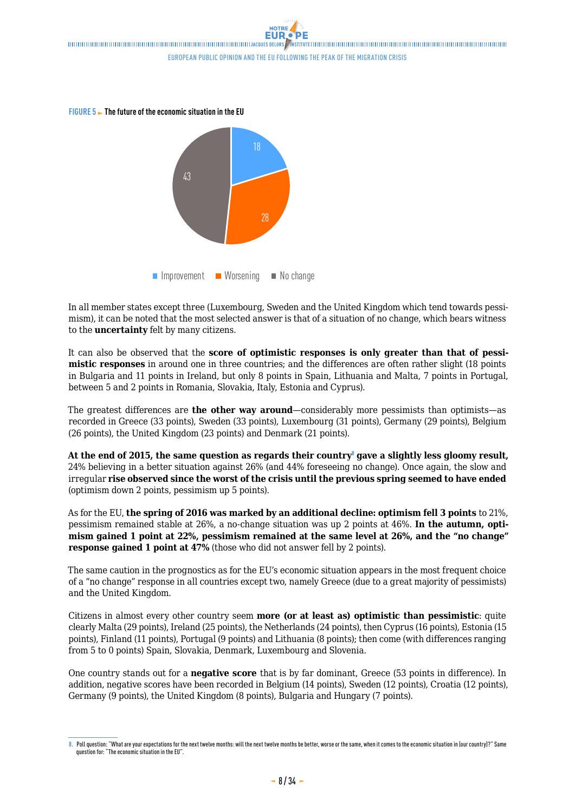**FIGURE 5 The future of the economic situation in the EU**



In all member states except three (Luxembourg, Sweden and the United Kingdom which tend towards pessimism), it can be noted that the most selected answer is that of a situation of no change, which bears witness to the **uncertainty** felt by many citizens.

It can also be observed that the **score of optimistic responses is only greater than that of pessimistic responses** in around one in three countries; and the differences are often rather slight (18 points in Bulgaria and 11 points in Ireland, but only 8 points in Spain, Lithuania and Malta, 7 points in Portugal, between 5 and 2 points in Romania, Slovakia, Italy, Estonia and Cyprus).

The greatest differences are **the other way around**—considerably more pessimists than optimists—as recorded in Greece (33 points), Sweden (33 points), Luxembourg (31 points), Germany (29 points), Belgium (26 points), the United Kingdom (23 points) and Denmark (21 points).

**At the end of 2015, the same question as regards their country**<sup>8</sup> **gave a slightly less gloomy result,**  24% believing in a better situation against 26% (and 44% foreseeing no change). Once again, the slow and irregular **rise observed since the worst of the crisis until the previous spring seemed to have ended**  (optimism down 2 points, pessimism up 5 points).

As for the EU, **the spring of 2016 was marked by an additional decline: optimism fell 3 points** to 21%, pessimism remained stable at 26%, a no-change situation was up 2 points at 46%. **In the autumn, optimism gained 1 point at 22%, pessimism remained at the same level at 26%, and the "no change" response gained 1 point at 47%** (those who did not answer fell by 2 points).

The same caution in the prognostics as for the EU's economic situation appears in the most frequent choice of a "no change" response in all countries except two, namely Greece (due to a great majority of pessimists) and the United Kingdom.

Citizens in almost every other country seem **more (or at least as) optimistic than pessimistic**: quite clearly Malta (29 points), Ireland (25 points), the Netherlands (24 points), then Cyprus (16 points), Estonia (15 points), Finland (11 points), Portugal (9 points) and Lithuania (8 points); then come (with differences ranging from 5 to 0 points) Spain, Slovakia, Denmark, Luxembourg and Slovenia.

One country stands out for a **negative score** that is by far dominant, Greece (53 points in difference). In addition, negative scores have been recorded in Belgium (14 points), Sweden (12 points), Croatia (12 points), Germany (9 points), the United Kingdom (8 points), Bulgaria and Hungary (7 points).

**<sup>8.</sup>** Poll question: "What are your expectations for the next twelve months: will the next twelve months be better, worse or the same, when it comes to the economic situation in (our country)?" Same question for: "The economic situation in the EU".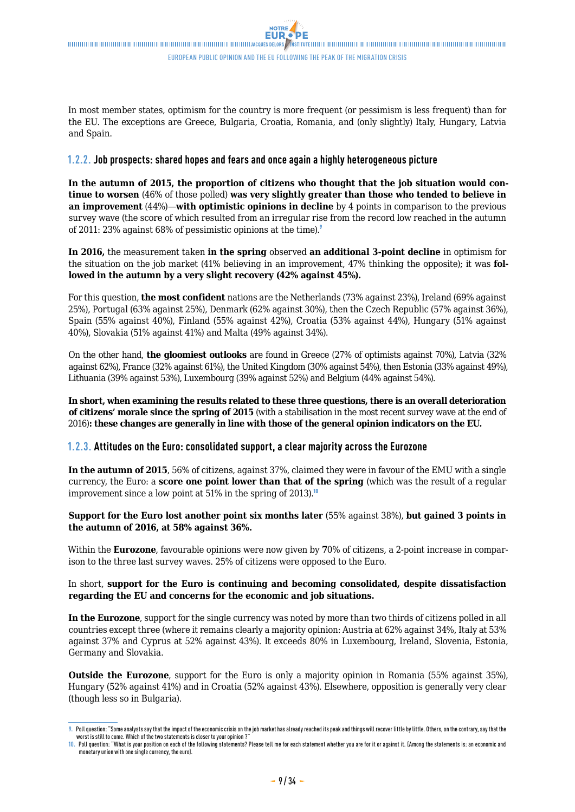In most member states, optimism for the country is more frequent (or pessimism is less frequent) than for the EU. The exceptions are Greece, Bulgaria, Croatia, Romania, and (only slightly) Italy, Hungary, Latvia and Spain.

### **1.2.2. Job prospects: shared hopes and fears and once again a highly heterogeneous picture**

**In the autumn of 2015, the proportion of citizens who thought that the job situation would continue to worsen** (46% of those polled) **was very slightly greater than those who tended to believe in an improvement** (44%)—**with optimistic opinions in decline** by 4 points in comparison to the previous survey wave (the score of which resulted from an irregular rise from the record low reached in the autumn of 2011: 23% against 68% of pessimistic opinions at the time).<sup>9</sup>

**In 2016,** the measurement taken **in the spring** observed **an additional 3-point decline** in optimism for the situation on the job market (41% believing in an improvement, 47% thinking the opposite); it was **followed in the autumn by a very slight recovery (42% against 45%).**

For this question, **the most confident** nations are the Netherlands (73% against 23%), Ireland (69% against 25%), Portugal (63% against 25%), Denmark (62% against 30%), then the Czech Republic (57% against 36%), Spain (55% against 40%), Finland (55% against 42%), Croatia (53% against 44%), Hungary (51% against 40%), Slovakia (51% against 41%) and Malta (49% against 34%).

On the other hand, **the gloomiest outlooks** are found in Greece (27% of optimists against 70%), Latvia (32% against 62%), France (32% against 61%), the United Kingdom (30% against 54%), then Estonia (33% against 49%), Lithuania (39% against 53%), Luxembourg (39% against 52%) and Belgium (44% against 54%).

**In short, when examining the results related to these three questions, there is an overall deterioration of citizens' morale since the spring of 2015** (with a stabilisation in the most recent survey wave at the end of 2016)**: these changes are generally in line with those of the general opinion indicators on the EU.**

### **1.2.3. Attitudes on the Euro: consolidated support, a clear majority across the Eurozone**

**In the autumn of 2015**, 56% of citizens, against 37%, claimed they were in favour of the EMU with a single currency, the Euro: a **score one point lower than that of the spring** (which was the result of a regular improvement since a low point at 51% in the spring of 2013).<sup>10</sup>

### **Support for the Euro lost another point six months later** (55% against 38%), **but gained 3 points in the autumn of 2016, at 58% against 36%.**

Within the **Eurozone**, favourable opinions were now given by **7**0% of citizens, a 2-point increase in comparison to the three last survey waves. 25% of citizens were opposed to the Euro.

### In short, **support for the Euro is continuing and becoming consolidated, despite dissatisfaction regarding the EU and concerns for the economic and job situations.**

**In the Eurozone**, support for the single currency was noted by more than two thirds of citizens polled in all countries except three (where it remains clearly a majority opinion: Austria at 62% against 34%, Italy at 53% against 37% and Cyprus at 52% against 43%). It exceeds 80% in Luxembourg, Ireland, Slovenia, Estonia, Germany and Slovakia.

**Outside the Eurozone**, support for the Euro is only a majority opinion in Romania (55% against 35%), Hungary (52% against 41%) and in Croatia (52% against 43%). Elsewhere, opposition is generally very clear (though less so in Bulgaria).

**<sup>9.</sup>** Poll question: "Some analysts say that the impact of the economic crisis on the job market has already reached its peak and things will recover little by little. Others, on the contrary, say that the worst is still to come. Which of the two statements is closer to your opinion ?"

**<sup>10.</sup>** Poll question: "What is your position on each of the following statements? Please tell me for each statement whether you are for it or against it. (Among the statements is: an economic and monetary union with one single currency, the euro).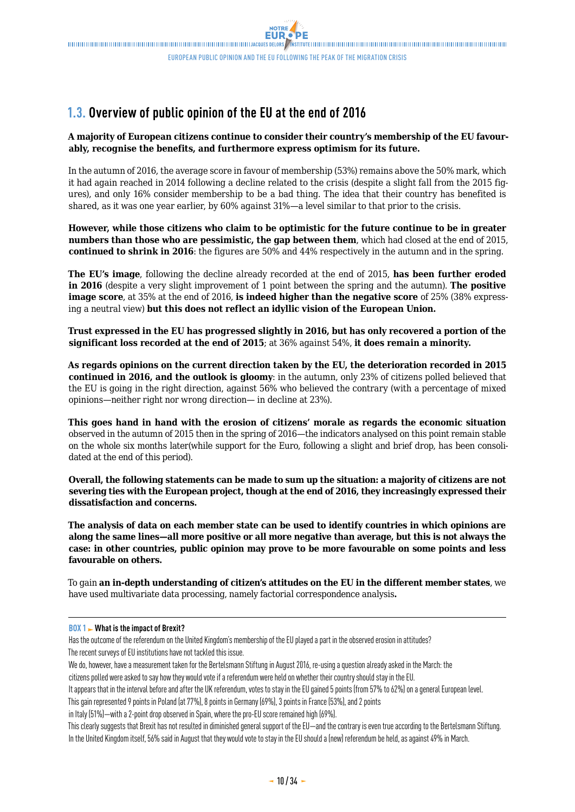## <span id="page-9-0"></span>**1.3. Overview of public opinion of the EU at the end of 2016**

### **A majority of European citizens continue to consider their country's membership of the EU favourably, recognise the benefits, and furthermore express optimism for its future.**

In the autumn of 2016, the average score in favour of membership (53%) remains above the 50% mark, which it had again reached in 2014 following a decline related to the crisis (despite a slight fall from the 2015 figures), and only 16% consider membership to be a bad thing. The idea that their country has benefited is shared, as it was one year earlier, by 60% against 31%—a level similar to that prior to the crisis.

**However, while those citizens who claim to be optimistic for the future continue to be in greater numbers than those who are pessimistic, the gap between them**, which had closed at the end of 2015, **continued to shrink in 2016**: the figures are 50% and 44% respectively in the autumn and in the spring.

**The EU's image**, following the decline already recorded at the end of 2015, **has been further eroded in 2016** (despite a very slight improvement of 1 point between the spring and the autumn). **The positive image score**, at 35% at the end of 2016, **is indeed higher than the negative score** of 25% (38% expressing a neutral view) **but this does not reflect an idyllic vision of the European Union.** 

**Trust expressed in the EU has progressed slightly in 2016, but has only recovered a portion of the significant loss recorded at the end of 2015**; at 36% against 54%, **it does remain a minority.**

**As regards opinions on the current direction taken by the EU, the deterioration recorded in 2015 continued in 2016, and the outlook is gloomy**: in the autumn, only 23% of citizens polled believed that the EU is going in the right direction, against 56% who believed the contrary (with a percentage of mixed opinions—neither right nor wrong direction— in decline at 23%).

**This goes hand in hand with the erosion of citizens' morale as regards the economic situation**  observed in the autumn of 2015 then in the spring of 2016—the indicators analysed on this point remain stable on the whole six months later(while support for the Euro, following a slight and brief drop, has been consolidated at the end of this period).

**Overall, the following statements can be made to sum up the situation: a majority of citizens are not severing ties with the European project, though at the end of 2016, they increasingly expressed their dissatisfaction and concerns.**

**The analysis of data on each member state can be used to identify countries in which opinions are along the same lines—all more positive or all more negative than average, but this is not always the case: in other countries, public opinion may prove to be more favourable on some points and less favourable on others.**

To gain **an in-depth understanding of citizen's attitudes on the EU in the different member states**, we have used multivariate data processing, namely factorial correspondence analysis**.**

### **BOX 1 What is the impact of Brexit?**

Has the outcome of the referendum on the United Kingdom's membership of the EU played a part in the observed erosion in attitudes? The recent surveys of EU institutions have not tackled this issue.

We do, however, have a measurement taken for the Bertelsmann Stiftung in August 2016, re-using a question already asked in the March: the citizens polled were asked to say how they would vote if a referendum were held on whether their country should stay in the EU.

It appears that in the interval before and after the UK referendum, votes to stay in the EU gained 5 points (from 57% to 62%) on a general European level.

This gain represented 9 points in Poland (at 77%), 8 points in Germany (69%), 3 points in France (53%), and 2 points

in Italy (51%)—with a 2-point drop observed in Spain, where the pro-EU score remained high (69%).

This clearly suggests that Brexit has not resulted in diminished general support of the EU—and the contrary is even true according to the Bertelsmann Stiftung. In the United Kingdom itself, 56% said in August that they would vote to stay in the EU should a (new) referendum be held, as against 49% in March.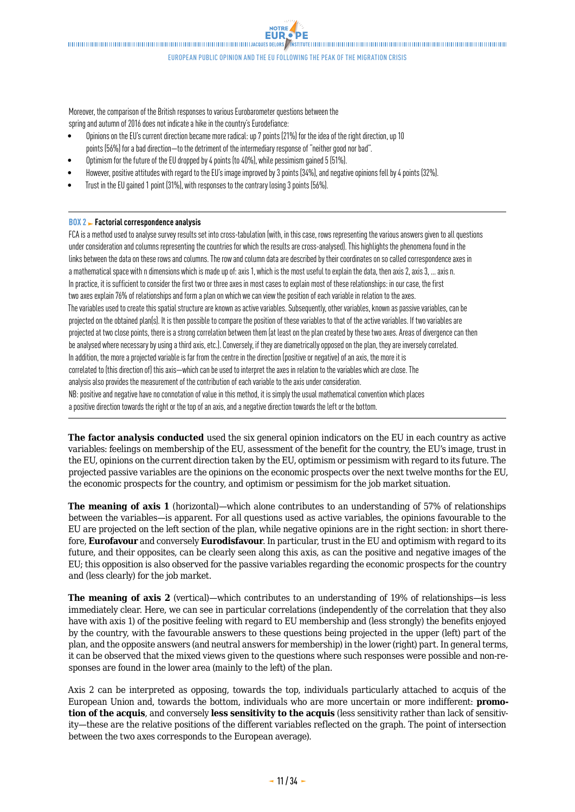**NOTRE** 

Moreover, the comparison of the British responses to various Eurobarometer questions between the spring and autumn of 2016 does not indicate a hike in the country's Eurodefiance:

- Opinions on the EU's current direction became more radical: up 7 points (21%) for the idea of the right direction, up 10 points (56%) for a bad direction—to the detriment of the intermediary response of "neither good nor bad".
- Optimism for the future of the EU dropped by 4 points (to 40%), while pessimism gained 5 (51%).
- However, positive attitudes with regard to the EU's image improved by 3 points (34%), and negative opinions fell by 4 points (32%).
- Trust in the EU gained 1 point (31%), with responses to the contrary losing 3 points (56%).

#### **BOX 2 Factorial correspondence analysis**

FCA is a method used to analyse survey results set into cross-tabulation (with, in this case, rows representing the various answers given to all questions under consideration and columns representing the countries for which the results are cross-analysed). This highlights the phenomena found in the links between the data on these rows and columns. The row and column data are described by their coordinates on so called correspondence axes in a mathematical space with n dimensions which is made up of: axis 1, which is the most useful to explain the data, then axis 2, axis 3, … axis n. In practice, it is sufficient to consider the first two or three axes in most cases to explain most of these relationships: in our case, the first two axes explain 76% of relationships and form a plan on which we can view the position of each variable in relation to the axes. The variables used to create this spatial structure are known as active variables. Subsequently, other variables, known as passive variables, can be projected on the obtained plan(s). It is then possible to compare the position of these variables to that of the active variables. If two variables are projected at two close points, there is a strong correlation between them (at least on the plan created by these two axes. Areas of divergence can then be analysed where necessary by using a third axis, etc.). Conversely, if they are diametrically opposed on the plan, they are inversely correlated. In addition, the more a projected variable is far from the centre in the direction (positive or negative) of an axis, the more it is correlated to (this direction of) this axis—which can be used to interpret the axes in relation to the variables which are close. The analysis also provides the measurement of the contribution of each variable to the axis under consideration. NB: positive and negative have no connotation of value in this method, it is simply the usual mathematical convention which places a positive direction towards the right or the top of an axis, and a negative direction towards the left or the bottom.

**The factor analysis conducted** used the six general opinion indicators on the EU in each country as active variables: feelings on membership of the EU, assessment of the benefit for the country, the EU's image, trust in the EU, opinions on the current direction taken by the EU, optimism or pessimism with regard to its future. The projected passive variables are the opinions on the economic prospects over the next twelve months for the EU, the economic prospects for the country, and optimism or pessimism for the job market situation.

**The meaning of axis 1** (horizontal)—which alone contributes to an understanding of 57% of relationships between the variables—is apparent. For all questions used as active variables, the opinions favourable to the EU are projected on the left section of the plan, while negative opinions are in the right section: in short therefore, **Eurofavour** and conversely **Eurodisfavour**. In particular, trust in the EU and optimism with regard to its future, and their opposites, can be clearly seen along this axis, as can the positive and negative images of the EU; this opposition is also observed for the passive variables regarding the economic prospects for the country and (less clearly) for the job market.

**The meaning of axis 2** (vertical)—which contributes to an understanding of 19% of relationships—is less immediately clear. Here, we can see in particular correlations (independently of the correlation that they also have with axis 1) of the positive feeling with regard to EU membership and (less strongly) the benefits enjoyed by the country, with the favourable answers to these questions being projected in the upper (left) part of the plan, and the opposite answers (and neutral answers for membership) in the lower (right) part. In general terms, it can be observed that the mixed views given to the questions where such responses were possible and non-responses are found in the lower area (mainly to the left) of the plan.

Axis 2 can be interpreted as opposing, towards the top, individuals particularly attached to acquis of the European Union and, towards the bottom, individuals who are more uncertain or more indifferent: **promotion of the acquis**, and conversely **less sensitivity to the acquis** (less sensitivity rather than lack of sensitivity—these are the relative positions of the different variables reflected on the graph. The point of intersection between the two axes corresponds to the European average).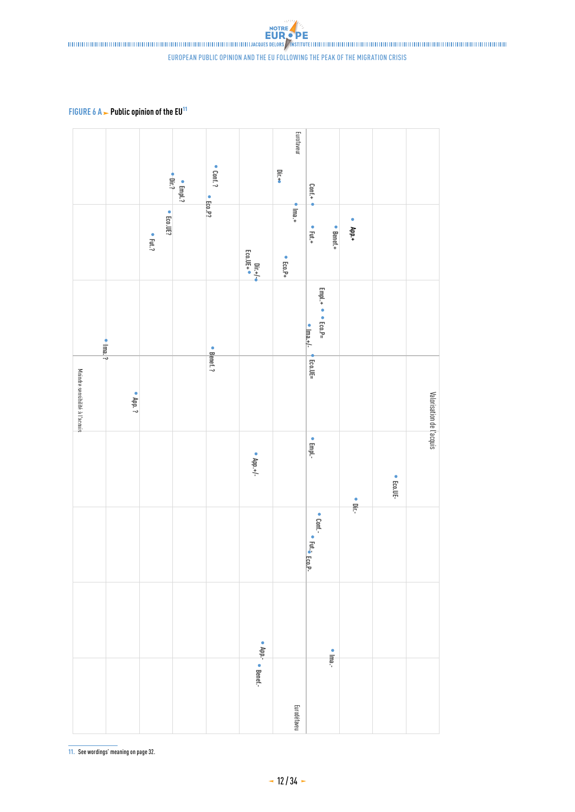**FIGURE 6 A - Public opinion of the EU<sup>11</sup>** 



**11.** See wordings' meaning on page 32.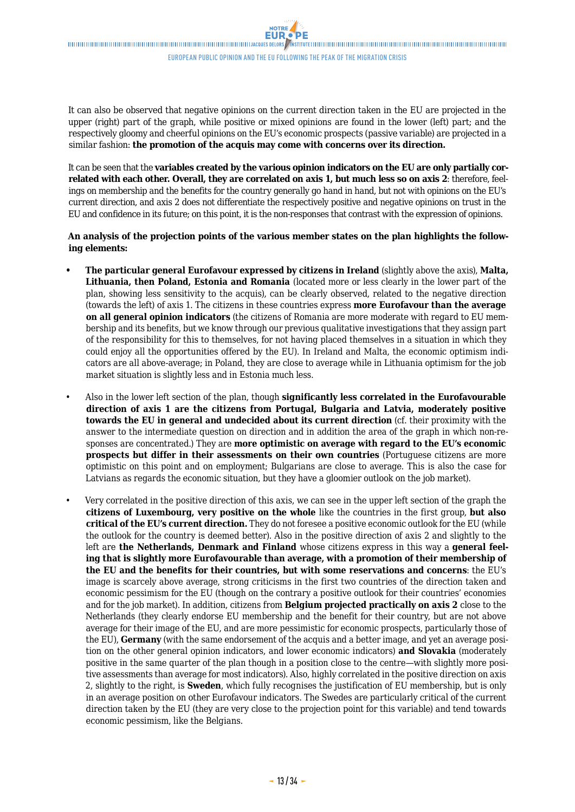It can also be observed that negative opinions on the current direction taken in the EU are projected in the upper (right) part of the graph, while positive or mixed opinions are found in the lower (left) part; and the respectively gloomy and cheerful opinions on the EU's economic prospects (passive variable) are projected in a similar fashion: **the promotion of the acquis may come with concerns over its direction.**

It can be seen that the **variables created by the various opinion indicators on the EU are only partially correlated with each other. Overall, they are correlated on axis 1, but much less so on axis 2**: therefore, feelings on membership and the benefits for the country generally go hand in hand, but not with opinions on the EU's current direction, and axis 2 does not differentiate the respectively positive and negative opinions on trust in the EU and confidence in its future; on this point, it is the non-responses that contrast with the expression of opinions.

**An analysis of the projection points of the various member states on the plan highlights the following elements:**

- **• The particular general Eurofavour expressed by citizens in Ireland** (slightly above the axis), **Malta, Lithuania, then Poland, Estonia and Romania** (located more or less clearly in the lower part of the plan, showing less sensitivity to the acquis), can be clearly observed, related to the negative direction (towards the left) of axis 1. The citizens in these countries express **more Eurofavour than the average on all general opinion indicators** (the citizens of Romania are more moderate with regard to EU membership and its benefits, but we know through our previous qualitative investigations that they assign part of the responsibility for this to themselves, for not having placed themselves in a situation in which they could enjoy all the opportunities offered by the EU). In Ireland and Malta, the economic optimism indicators are all above-average; in Poland, they are close to average while in Lithuania optimism for the job market situation is slightly less and in Estonia much less.
- Also in the lower left section of the plan, though **significantly less correlated in the Eurofavourable direction of axis 1 are the citizens from Portugal, Bulgaria and Latvia, moderately positive towards the EU in general and undecided about its current direction** (cf. their proximity with the answer to the intermediate question on direction and in addition the area of the graph in which non-responses are concentrated.) They are **more optimistic on average with regard to the EU's economic prospects but differ in their assessments on their own countries** (Portuguese citizens are more optimistic on this point and on employment; Bulgarians are close to average. This is also the case for Latvians as regards the economic situation, but they have a gloomier outlook on the job market).
- Very correlated in the positive direction of this axis, we can see in the upper left section of the graph the **citizens of Luxembourg, very positive on the whole** like the countries in the first group, **but also critical of the EU's current direction.** They do not foresee a positive economic outlook for the EU (while the outlook for the country is deemed better). Also in the positive direction of axis 2 and slightly to the left are **the Netherlands, Denmark and Finland** whose citizens express in this way a **general feeling that is slightly more Eurofavourable than average, with a promotion of their membership of the EU and the benefits for their countries, but with some reservations and concerns**: the EU's image is scarcely above average, strong criticisms in the first two countries of the direction taken and economic pessimism for the EU (though on the contrary a positive outlook for their countries' economies and for the job market). In addition, citizens from **Belgium projected practically on axis 2** close to the Netherlands (they clearly endorse EU membership and the benefit for their country, but are not above average for their image of the EU, and are more pessimistic for economic prospects, particularly those of the EU), **Germany** (with the same endorsement of the acquis and a better image, and yet an average position on the other general opinion indicators, and lower economic indicators) **and Slovakia** (moderately positive in the same quarter of the plan though in a position close to the centre—with slightly more positive assessments than average for most indicators). Also, highly correlated in the positive direction on axis 2, slightly to the right, is **Sweden**, which fully recognises the justification of EU membership, but is only in an average position on other Eurofavour indicators. The Swedes are particularly critical of the current direction taken by the EU (they are very close to the projection point for this variable) and tend towards economic pessimism, like the Belgians.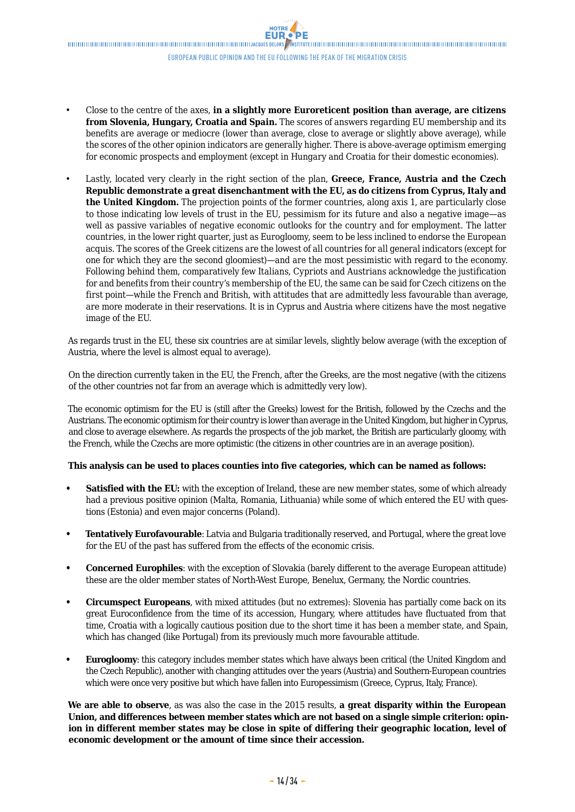- Close to the centre of the axes, **in a slightly more Euroreticent position than average, are citizens from Slovenia, Hungary, Croatia and Spain.** The scores of answers regarding EU membership and its benefits are average or mediocre (lower than average, close to average or slightly above average), while the scores of the other opinion indicators are generally higher. There is above-average optimism emerging for economic prospects and employment (except in Hungary and Croatia for their domestic economies).
- Lastly, located very clearly in the right section of the plan, **Greece, France, Austria and the Czech Republic demonstrate a great disenchantment with the EU, as do citizens from Cyprus, Italy and the United Kingdom.** The projection points of the former countries, along axis 1, are particularly close to those indicating low levels of trust in the EU, pessimism for its future and also a negative image—as well as passive variables of negative economic outlooks for the country and for employment. The latter countries, in the lower right quarter, just as Eurogloomy, seem to be less inclined to endorse the European acquis. The scores of the Greek citizens are the lowest of all countries for all general indicators (except for one for which they are the second gloomiest)—and are the most pessimistic with regard to the economy. Following behind them, comparatively few Italians, Cypriots and Austrians acknowledge the justification for and benefits from their country's membership of the EU, the same can be said for Czech citizens on the first point—while the French and British, with attitudes that are admittedly less favourable than average, are more moderate in their reservations. It is in Cyprus and Austria where citizens have the most negative image of the EU.

As regards trust in the EU, these six countries are at similar levels, slightly below average (with the exception of Austria, where the level is almost equal to average).

On the direction currently taken in the EU, the French, after the Greeks, are the most negative (with the citizens of the other countries not far from an average which is admittedly very low).

The economic optimism for the EU is (still after the Greeks) lowest for the British, followed by the Czechs and the Austrians. The economic optimism for their country is lower than average in the United Kingdom, but higher in Cyprus, and close to average elsewhere. As regards the prospects of the job market, the British are particularly gloomy, with the French, while the Czechs are more optimistic (the citizens in other countries are in an average position).

### **This analysis can be used to places counties into five categories, which can be named as follows:**

- **• Satisfied with the EU:** with the exception of Ireland, these are new member states, some of which already had a previous positive opinion (Malta, Romania, Lithuania) while some of which entered the EU with questions (Estonia) and even major concerns (Poland).
- **• Tentatively Eurofavourable**: Latvia and Bulgaria traditionally reserved, and Portugal, where the great love for the EU of the past has suffered from the effects of the economic crisis.
- **• Concerned Europhiles**: with the exception of Slovakia (barely different to the average European attitude) these are the older member states of North-West Europe, Benelux, Germany, the Nordic countries.
- **• Circumspect Europeans**, with mixed attitudes (but no extremes): Slovenia has partially come back on its great Euroconfidence from the time of its accession, Hungary, where attitudes have fluctuated from that time, Croatia with a logically cautious position due to the short time it has been a member state, and Spain, which has changed (like Portugal) from its previously much more favourable attitude.
- **• Eurogloomy**: this category includes member states which have always been critical (the United Kingdom and the Czech Republic), another with changing attitudes over the years (Austria) and Southern-European countries which were once very positive but which have fallen into Europessimism (Greece, Cyprus, Italy, France).

**We are able to observe**, as was also the case in the 2015 results, **a great disparity within the European Union, and differences between member states which are not based on a single simple criterion: opinion in different member states may be close in spite of differing their geographic location, level of economic development or the amount of time since their accession.**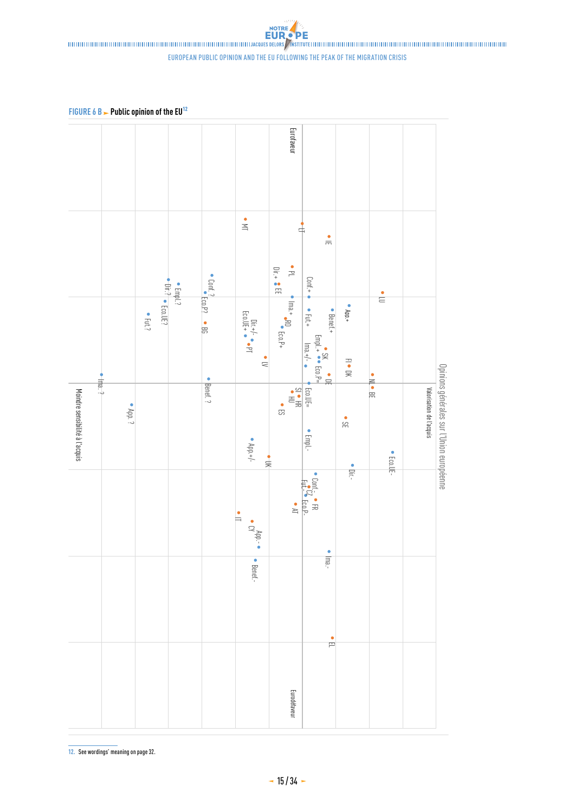### european public opinion and the eu following the peak of the migration crisis

**FIGURE 6 B > Public opinion of the EU<sup>12</sup>** 



**12.** See wordings' meaning on page 32.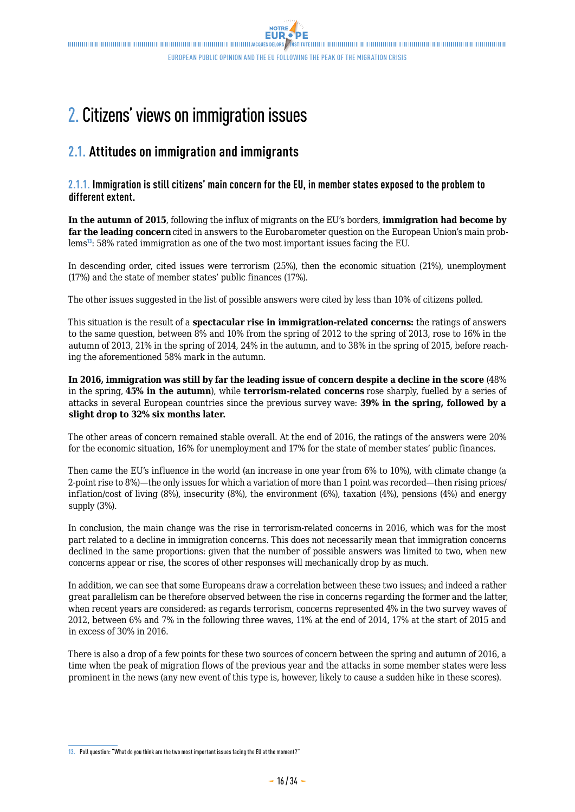## <span id="page-15-0"></span>2. Citizens' views on immigration issues

## **2.1. Attitudes on immigration and immigrants**

### **2.1.1. Immigration is still citizens' main concern for the EU, in member states exposed to the problem to different extent.**

**In the autumn of 2015**, following the influx of migrants on the EU's borders, **immigration had become by far the leading concern**cited in answers to the Eurobarometer question on the European Union's main problems<sup>13</sup>: 58% rated immigration as one of the two most important issues facing the EU.

In descending order, cited issues were terrorism (25%), then the economic situation (21%), unemployment (17%) and the state of member states' public finances (17%).

The other issues suggested in the list of possible answers were cited by less than 10% of citizens polled.

This situation is the result of a **spectacular rise in immigration-related concerns:** the ratings of answers to the same question, between 8% and 10% from the spring of 2012 to the spring of 2013, rose to 16% in the autumn of 2013, 21% in the spring of 2014, 24% in the autumn, and to 38% in the spring of 2015, before reaching the aforementioned 58% mark in the autumn.

**In 2016, immigration was still by far the leading issue of concern despite a decline in the score** (48% in the spring, **45% in the autumn**), while **terrorism-related concerns** rose sharply, fuelled by a series of attacks in several European countries since the previous survey wave: **39% in the spring, followed by a slight drop to 32% six months later.**

The other areas of concern remained stable overall. At the end of 2016, the ratings of the answers were 20% for the economic situation, 16% for unemployment and 17% for the state of member states' public finances.

Then came the EU's influence in the world (an increase in one year from 6% to 10%), with climate change (a 2-point rise to 8%)—the only issues for which a variation of more than 1 point was recorded—then rising prices/ inflation/cost of living (8%), insecurity (8%), the environment (6%), taxation (4%), pensions (4%) and energy supply (3%).

In conclusion, the main change was the rise in terrorism-related concerns in 2016, which was for the most part related to a decline in immigration concerns. This does not necessarily mean that immigration concerns declined in the same proportions: given that the number of possible answers was limited to two, when new concerns appear or rise, the scores of other responses will mechanically drop by as much.

In addition, we can see that some Europeans draw a correlation between these two issues; and indeed a rather great parallelism can be therefore observed between the rise in concerns regarding the former and the latter, when recent years are considered: as regards terrorism, concerns represented 4% in the two survey waves of 2012, between 6% and 7% in the following three waves, 11% at the end of 2014, 17% at the start of 2015 and in excess of 30% in 2016.

There is also a drop of a few points for these two sources of concern between the spring and autumn of 2016, a time when the peak of migration flows of the previous year and the attacks in some member states were less prominent in the news (any new event of this type is, however, likely to cause a sudden hike in these scores).

**<sup>13.</sup>** Poll question: "What do you think are the two most important issues facing the EU at the moment?"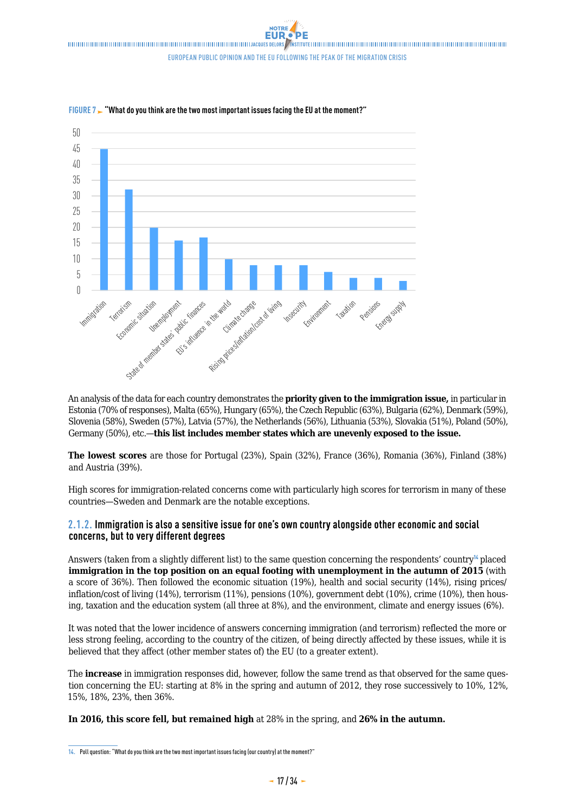

FIGURE 7  $\sim$  "What do you think are the two most important issues facing the EU at the moment?"

An analysis of the data for each country demonstrates the **priority given to the immigration issue,** in particular in Estonia (70% of responses), Malta (65%), Hungary (65%), the Czech Republic (63%), Bulgaria (62%), Denmark (59%), Slovenia (58%), Sweden (57%), Latvia (57%), the Netherlands (56%), Lithuania (53%), Slovakia (51%), Poland (50%), Germany (50%), etc.—**this list includes member states which are unevenly exposed to the issue.**

**The lowest scores** are those for Portugal (23%), Spain (32%), France (36%), Romania (36%), Finland (38%) and Austria (39%).

High scores for immigration-related concerns come with particularly high scores for terrorism in many of these countries—Sweden and Denmark are the notable exceptions.

### **2.1.2. Immigration is also a sensitive issue for one's own country alongside other economic and social concerns, but to very different degrees**

Answers (taken from a slightly different list) to the same question concerning the respondents' country<sup>14</sup> placed **immigration in the top position on an equal footing with unemployment in the autumn of 2015** (with a score of 36%). Then followed the economic situation (19%), health and social security (14%), rising prices/ inflation/cost of living (14%), terrorism (11%), pensions (10%), government debt (10%), crime (10%), then housing, taxation and the education system (all three at 8%), and the environment, climate and energy issues (6%).

It was noted that the lower incidence of answers concerning immigration (and terrorism) reflected the more or less strong feeling, according to the country of the citizen, of being directly affected by these issues, while it is believed that they affect (other member states of) the EU (to a greater extent).

The **increase** in immigration responses did, however, follow the same trend as that observed for the same question concerning the EU: starting at 8% in the spring and autumn of 2012, they rose successively to 10%, 12%, 15%, 18%, 23%, then 36%.

**In 2016, this score fell, but remained high** at 28% in the spring, and **26% in the autumn.**

**<sup>14.</sup>** Poll question: "What do you think are the two most important issues facing (our country) at the moment?"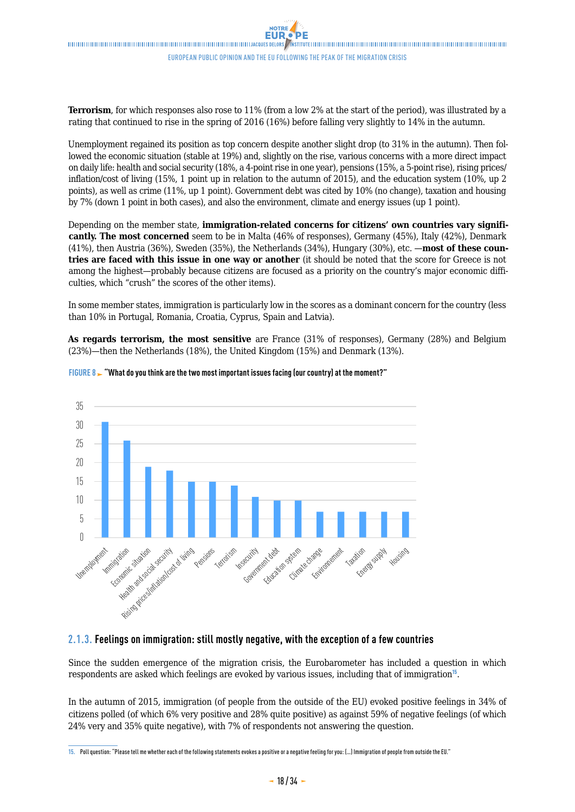**Terrorism**, for which responses also rose to 11% (from a low 2% at the start of the period), was illustrated by a rating that continued to rise in the spring of 2016 (16%) before falling very slightly to 14% in the autumn.

Unemployment regained its position as top concern despite another slight drop (to 31% in the autumn). Then followed the economic situation (stable at 19%) and, slightly on the rise, various concerns with a more direct impact on daily life: health and social security (18%, a 4-point rise in one year), pensions (15%, a 5-point rise), rising prices/ inflation/cost of living (15%, 1 point up in relation to the autumn of 2015), and the education system (10%, up 2 points), as well as crime (11%, up 1 point). Government debt was cited by 10% (no change), taxation and housing by 7% (down 1 point in both cases), and also the environment, climate and energy issues (up 1 point).

Depending on the member state, **immigration-related concerns for citizens' own countries vary significantly. The most concerned** seem to be in Malta (46% of responses), Germany (45%), Italy (42%), Denmark (41%), then Austria (36%), Sweden (35%), the Netherlands (34%), Hungary (30%), etc. —**most of these countries are faced with this issue in one way or another** (it should be noted that the score for Greece is not among the highest—probably because citizens are focused as a priority on the country's major economic difficulties, which "crush" the scores of the other items).

In some member states, immigration is particularly low in the scores as a dominant concern for the country (less than 10% in Portugal, Romania, Croatia, Cyprus, Spain and Latvia).

**As regards terrorism, the most sensitive** are France (31% of responses), Germany (28%) and Belgium (23%)—then the Netherlands (18%), the United Kingdom (15%) and Denmark (13%).



### **FIGURE 8 - "What do you think are the two most important issues facing (our country) at the moment?"**

### **2.1.3. Feelings on immigration: still mostly negative, with the exception of a few countries**

Since the sudden emergence of the migration crisis, the Eurobarometer has included a question in which respondents are asked which feelings are evoked by various issues, including that of immigration<sup>15</sup>.

In the autumn of 2015, immigration (of people from the outside of the EU) evoked positive feelings in 34% of citizens polled (of which 6% very positive and 28% quite positive) as against 59% of negative feelings (of which 24% very and 35% quite negative), with 7% of respondents not answering the question.

**<sup>15.</sup>** Poll question: "Please tell me whether each of the following statements evokes a positive or a negative feeling for you: (…) Immigration of people from outside the EU."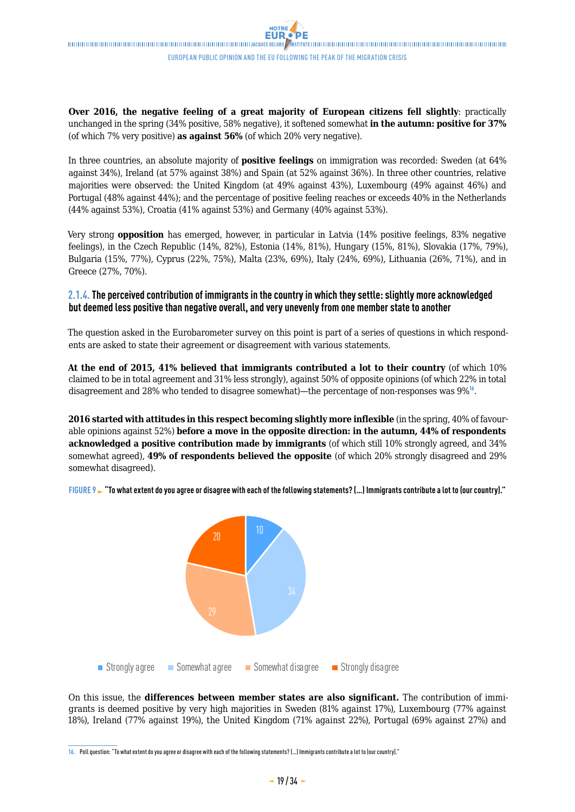**Over 2016, the negative feeling of a great majority of European citizens fell slightly:** practically unchanged in the spring (34% positive, 58% negative), it softened somewhat **in the autumn: positive for 37%** (of which 7% very positive) **as against 56%** (of which 20% very negative).

In three countries, an absolute majority of **positive feelings** on immigration was recorded: Sweden (at 64% against 34%), Ireland (at 57% against 38%) and Spain (at 52% against 36%). In three other countries, relative majorities were observed: the United Kingdom (at 49% against 43%), Luxembourg (49% against 46%) and Portugal (48% against 44%); and the percentage of positive feeling reaches or exceeds 40% in the Netherlands (44% against 53%), Croatia (41% against 53%) and Germany (40% against 53%).

Very strong **opposition** has emerged, however, in particular in Latvia (14% positive feelings, 83% negative feelings), in the Czech Republic (14%, 82%), Estonia (14%, 81%), Hungary (15%, 81%), Slovakia (17%, 79%), Bulgaria (15%, 77%), Cyprus (22%, 75%), Malta (23%, 69%), Italy (24%, 69%), Lithuania (26%, 71%), and in Greece (27%, 70%).

### **2.1.4. The perceived contribution of immigrants in the country in which they settle: slightly more acknowledged but deemed less positive than negative overall, and very unevenly from one member state to another**

The question asked in the Eurobarometer survey on this point is part of a series of questions in which respondents are asked to state their agreement or disagreement with various statements.

**At the end of 2015, 41% believed that immigrants contributed a lot to their country** (of which 10% claimed to be in total agreement and 31% less strongly), against 50% of opposite opinions (of which 22% in total disagreement and 28% who tended to disagree somewhat)—the percentage of non-responses was 9%<sup>16</sup>.

**2016 started with attitudes in this respect becoming slightly more inflexible** (in the spring, 40% of favourable opinions against 52%) **before a move in the opposite direction: in the autumn, 44% of respondents acknowledged a positive contribution made by immigrants** (of which still 10% strongly agreed, and 34% somewhat agreed), **49% of respondents believed the opposite** (of which 20% strongly disagreed and 29% somewhat disagreed).

rigure 9 **- "To what extent do you agree or disagree with each of the following statements? (…) Immigrants contribute a lot to (our country)."** 



On this issue, the **differences between member states are also significant.** The contribution of immigrants is deemed positive by very high majorities in Sweden (81% against 17%), Luxembourg (77% against 18%), Ireland (77% against 19%), the United Kingdom (71% against 22%), Portugal (69% against 27%) and

**<sup>16.</sup>** Poll question: "To what extent do you agree or disagree with each of the following statements? (…) Immigrants contribute a lot to (our country)."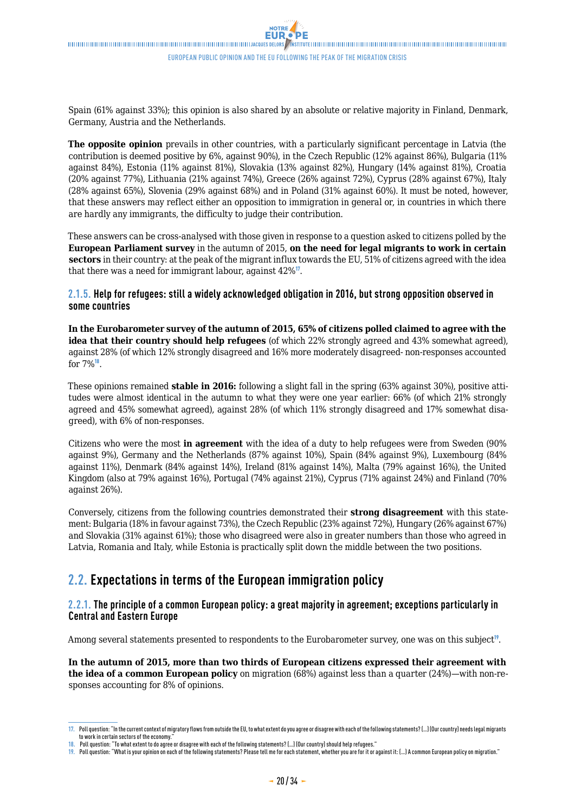<span id="page-19-0"></span>Spain (61% against 33%); this opinion is also shared by an absolute or relative majority in Finland, Denmark, Germany, Austria and the Netherlands.

**The opposite opinion** prevails in other countries, with a particularly significant percentage in Latvia (the contribution is deemed positive by 6%, against 90%), in the Czech Republic (12% against 86%), Bulgaria (11% against 84%), Estonia (11% against 81%), Slovakia (13% against 82%), Hungary (14% against 81%), Croatia (20% against 77%), Lithuania (21% against 74%), Greece (26% against 72%), Cyprus (28% against 67%), Italy (28% against 65%), Slovenia (29% against 68%) and in Poland (31% against 60%). It must be noted, however, that these answers may reflect either an opposition to immigration in general or, in countries in which there are hardly any immigrants, the difficulty to judge their contribution.

These answers can be cross-analysed with those given in response to a question asked to citizens polled by the **European Parliament survey** in the autumn of 2015, **on the need for legal migrants to work in certain sectors** in their country: at the peak of the migrant influx towards the EU, 51% of citizens agreed with the idea that there was a need for immigrant labour, against 42%<sup>17</sup>.

### **2.1.5. Help for refugees: still a widely acknowledged obligation in 2016, but strong opposition observed in some countries**

**In the Eurobarometer survey of the autumn of 2015, 65% of citizens polled claimed to agree with the idea that their country should help refugees** (of which 22% strongly agreed and 43% somewhat agreed), against 28% (of which 12% strongly disagreed and 16% more moderately disagreed- non-responses accounted for 7%<sup>18</sup>.

These opinions remained **stable in 2016:** following a slight fall in the spring (63% against 30%), positive attitudes were almost identical in the autumn to what they were one year earlier: 66% (of which 21% strongly agreed and 45% somewhat agreed), against 28% (of which 11% strongly disagreed and 17% somewhat disagreed), with 6% of non-responses.

Citizens who were the most **in agreement** with the idea of a duty to help refugees were from Sweden (90% against 9%), Germany and the Netherlands (87% against 10%), Spain (84% against 9%), Luxembourg (84% against 11%), Denmark (84% against 14%), Ireland (81% against 14%), Malta (79% against 16%), the United Kingdom (also at 79% against 16%), Portugal (74% against 21%), Cyprus (71% against 24%) and Finland (70% against 26%).

Conversely, citizens from the following countries demonstrated their **strong disagreement** with this statement: Bulgaria (18% in favour against 73%), the Czech Republic (23% against 72%), Hungary (26% against 67%) and Slovakia (31% against 61%); those who disagreed were also in greater numbers than those who agreed in Latvia, Romania and Italy, while Estonia is practically split down the middle between the two positions.

## **2.2. Expectations in terms of the European immigration policy**

### **2.2.1. The principle of a common European policy: a great majority in agreement; exceptions particularly in Central and Eastern Europe**

Among several statements presented to respondents to the Eurobarometer survey, one was on this subject<sup>19</sup>.

**In the autumn of 2015, more than two thirds of European citizens expressed their agreement with the idea of a common European policy** on migration (68%) against less than a quarter (24%)—with non-responses accounting for 8% of opinions.

**<sup>17.</sup>** Poll question: "In the current context of migratory flows from outside the EU, to what extent do you agree or disagree with each of the following statements? (…) (Our country) needs legal migrants to work in certain sectors of the economy

**<sup>18.</sup>** Poll question: "To what extent to do agree or disagree with each of the following statements? (…) (Our country) should help refugees."

**<sup>19.</sup>** Poll question: "What is your opinion on each of the following statements? Please tell me for each statement, whether you are for it or against it: (…) A common European policy on migration."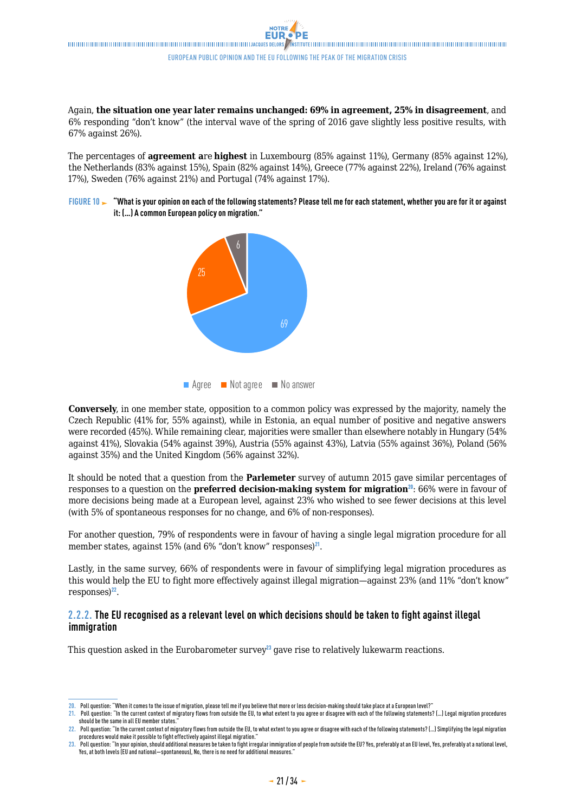Again, **the situation one year later remains unchanged: 69% in agreement, 25% in disagreement**, and 6% responding "don't know" (the interval wave of the spring of 2016 gave slightly less positive results, with 67% against 26%).

The percentages of **agreement a**re **highest** in Luxembourg (85% against 11%), Germany (85% against 12%), the Netherlands (83% against 15%), Spain (82% against 14%), Greece (77% against 22%), Ireland (76% against 17%), Sweden (76% against 21%) and Portugal (74% against 17%).

FIGURE 10 **>** "What is your opinion on each of the following statements? Please tell me for each statement, whether you are for it or against **it: (…) A common European policy on migration."**



■ Agree ■ Not agree ■ No answer

**Conversely**, in one member state, opposition to a common policy was expressed by the majority, namely the Czech Republic (41% for, 55% against), while in Estonia, an equal number of positive and negative answers were recorded (45%). While remaining clear, majorities were smaller than elsewhere notably in Hungary (54% against 41%), Slovakia (54% against 39%), Austria (55% against 43%), Latvia (55% against 36%), Poland (56% against 35%) and the United Kingdom (56% against 32%).

It should be noted that a question from the **Parlemeter** survey of autumn 2015 gave similar percentages of responses to a question on the **preferred decision-making system for migration**<sup>20</sup>: 66% were in favour of more decisions being made at a European level, against 23% who wished to see fewer decisions at this level (with 5% of spontaneous responses for no change, and 6% of non-responses).

For another question, 79% of respondents were in favour of having a single legal migration procedure for all member states, against 15% (and 6% "don't know" responses)<sup>21</sup>.

Lastly, in the same survey, 66% of respondents were in favour of simplifying legal migration procedures as this would help the EU to fight more effectively against illegal migration—against 23% (and 11% "don't know"  $resposes)^{22}$ .

### **2.2.2. The EU recognised as a relevant level on which decisions should be taken to fight against illegal immigration**

This question asked in the Eurobarometer survey<sup>23</sup> gave rise to relatively lukewarm reactions.

**<sup>20.</sup>** Poll question: "When it comes to the issue of migration, please tell me if you believe that more or less decision-making should take place at a European level?"

**<sup>21.</sup>** Poll question: "In the current context of migratory flows from outside the EU, to what extent to you agree or disagree with each of the following statements? (…) Legal migration procedures should be the same in all EU member states."

**<sup>22.</sup>** Poll question: "In the current context of migratory flows from outside the EU, to what extent to you agree or disagree with each of the following statements? (…) Simplifying the legal migration procedures would make it possible to fight effectively against illegal migration."

**<sup>23.</sup>** Poll question: "In your opinion, should additional measures be taken to fight irregular immigration of people from outside the EU? Yes, preferably at an EU level, Yes, preferably at a national level, Yes, at both levels (EU and national—spontaneous), No, there is no need for additional measures."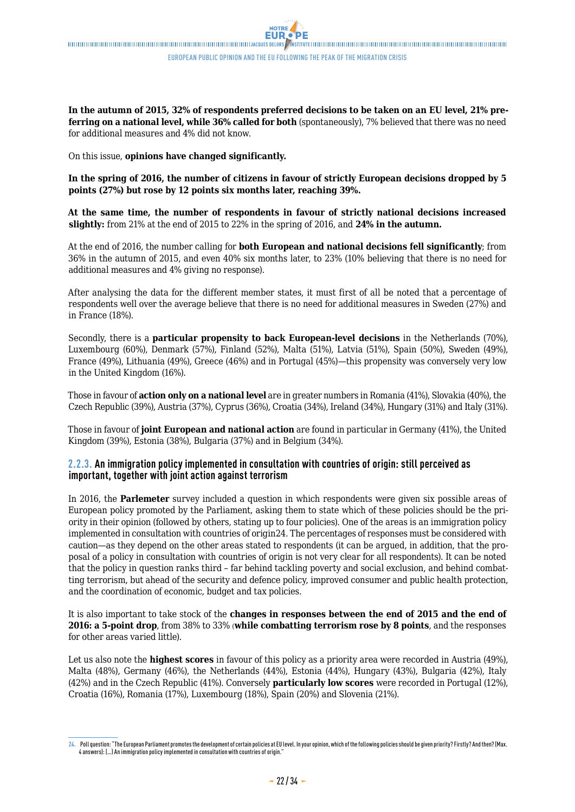**In the autumn of 2015, 32% of respondents preferred decisions to be taken on an EU level, 21% preferring on a national level, while 36% called for both** (spontaneously), 7% believed that there was no need for additional measures and 4% did not know.

On this issue, **opinions have changed significantly.**

**In the spring of 2016, the number of citizens in favour of strictly European decisions dropped by 5 points (27%) but rose by 12 points six months later, reaching 39%.**

**At the same time, the number of respondents in favour of strictly national decisions increased slightly:** from 21% at the end of 2015 to 22% in the spring of 2016, and **24% in the autumn.**

At the end of 2016, the number calling for **both European and national decisions fell significantly**; from 36% in the autumn of 2015, and even 40% six months later, to 23% (10% believing that there is no need for additional measures and 4% giving no response).

After analysing the data for the different member states, it must first of all be noted that a percentage of respondents well over the average believe that there is no need for additional measures in Sweden (27%) and in France (18%).

Secondly, there is a **particular propensity to back European-level decisions** in the Netherlands (70%), Luxembourg (60%), Denmark (57%), Finland (52%), Malta (51%), Latvia (51%), Spain (50%), Sweden (49%), France (49%), Lithuania (49%), Greece (46%) and in Portugal (45%)—this propensity was conversely very low in the United Kingdom (16%).

Those in favour of **action only on a national level** are in greater numbers in Romania (41%), Slovakia (40%), the Czech Republic (39%), Austria (37%), Cyprus (36%), Croatia (34%), Ireland (34%), Hungary (31%) and Italy (31%).

Those in favour of **joint European and national action** are found in particular in Germany (41%), the United Kingdom (39%), Estonia (38%), Bulgaria (37%) and in Belgium (34%).

### **2.2.3. An immigration policy implemented in consultation with countries of origin: still perceived as important, together with joint action against terrorism**

In 2016, the **Parlemeter** survey included a question in which respondents were given six possible areas of European policy promoted by the Parliament, asking them to state which of these policies should be the priority in their opinion (followed by others, stating up to four policies). One of the areas is an immigration policy implemented in consultation with countries of origin24. The percentages of responses must be considered with caution—as they depend on the other areas stated to respondents (it can be argued, in addition, that the proposal of a policy in consultation with countries of origin is not very clear for all respondents). It can be noted that the policy in question ranks third – far behind tackling poverty and social exclusion, and behind combatting terrorism, but ahead of the security and defence policy, improved consumer and public health protection, and the coordination of economic, budget and tax policies.

It is also important to take stock of the **changes in responses between the end of 2015 and the end of 2016: a 5-point drop**, from 38% to 33% (**while combatting terrorism rose by 8 points**, and the responses for other areas varied little).

Let us also note the **highest scores** in favour of this policy as a priority area were recorded in Austria (49%), Malta (48%), Germany (46%), the Netherlands (44%), Estonia (44%), Hungary (43%), Bulgaria (42%), Italy (42%) and in the Czech Republic (41%). Conversely **particularly low scores** were recorded in Portugal (12%), Croatia (16%), Romania (17%), Luxembourg (18%), Spain (20%) and Slovenia (21%).

**<sup>24.</sup>** Poll question: "The European Parliament promotes the development of certain policies at EU level. In your opinion, which of the following policies should be given priority? Firstly? And then? (Max. 4 answers): (…) An immigration policy implemented in consultation with countries of origin."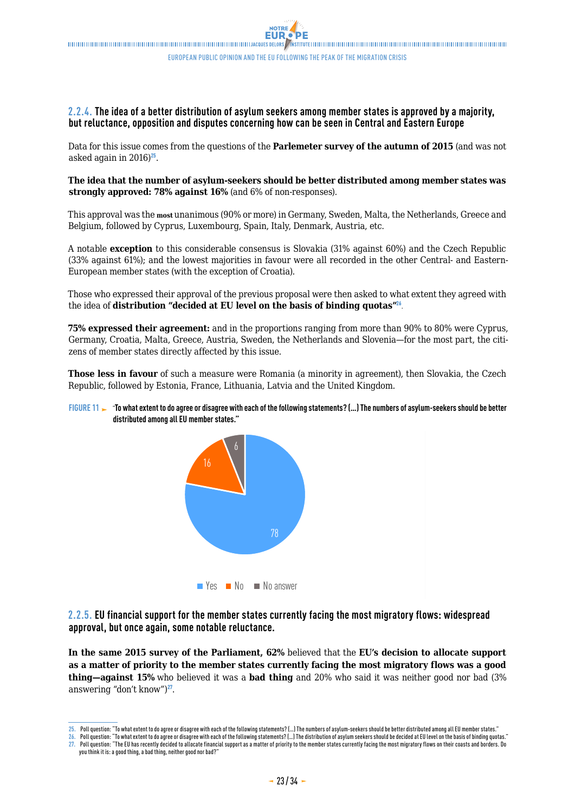### **2.2.4. The idea of a better distribution of asylum seekers among member states is approved by a majority, but reluctance, opposition and disputes concerning how can be seen in Central and Eastern Europe**

Data for this issue comes from the questions of the **Parlemeter survey of the autumn of 2015** (and was not asked again in  $2016)^{25}$ .

### **The idea that the number of asylum-seekers should be better distributed among member states was strongly approved: 78% against 16%** (and 6% of non-responses).

This approval was the **most** unanimous (90% or more) in Germany, Sweden, Malta, the Netherlands, Greece and Belgium, followed by Cyprus, Luxembourg, Spain, Italy, Denmark, Austria, etc.

A notable **exception** to this considerable consensus is Slovakia (31% against 60%) and the Czech Republic (33% against 61%); and the lowest majorities in favour were all recorded in the other Central- and Eastern-European member states (with the exception of Croatia).

Those who expressed their approval of the previous proposal were then asked to what extent they agreed with the idea of **distribution "decided at EU level on the basis of binding quotas"**<sup>26</sup>.

**75% expressed their agreement:** and in the proportions ranging from more than 90% to 80% were Cyprus, Germany, Croatia, Malta, Greece, Austria, Sweden, the Netherlands and Slovenia—for the most part, the citizens of member states directly affected by this issue.

**Those less in favour** of such a measure were Romania (a minority in agreement), then Slovakia, the Czech Republic, followed by Estonia, France, Lithuania, Latvia and the United Kingdom.

### FIGURE 11  $\blacktriangleright$  "To what extent to do agree or disagree with each of the following statements? [...] The numbers of asylum-seekers should be better **distributed among all EU member states."**



**2.2.5. EU financial support for the member states currently facing the most migratory flows: widespread approval, but once again, some notable reluctance.** 

**In the same 2015 survey of the Parliament, 62%** believed that the **EU's decision to allocate support as a matter of priority to the member states currently facing the most migratory flows was a good thing—against 15%** who believed it was a **bad thing** and 20% who said it was neither good nor bad (3% answering "don't know") $^{27}$ .

**<sup>25.</sup>** Poll question: "To what extent to do agree or disagree with each of the following statements? (…) The numbers of asylum-seekers should be better distributed among all EU member states."

**<sup>26.</sup>** Poll question: "To what extent to do agree or disagree with each of the following statements? (…) The distribution of asylum seekers should be decided at EU level on the basis of binding quotas." **27.** Poll question: "The EU has recently decided to allocate financial support as a matter of priority to the member states currently facing the most migratory flows on their coasts and borders. Do you think it is: a good thing, a bad thing, neither good nor bad?"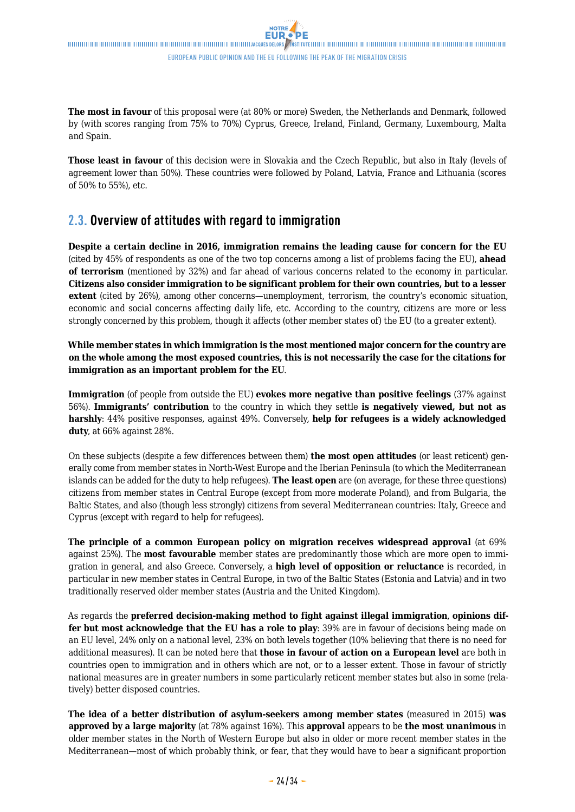<span id="page-23-0"></span>**The most in favour** of this proposal were (at 80% or more) Sweden, the Netherlands and Denmark, followed by (with scores ranging from 75% to 70%) Cyprus, Greece, Ireland, Finland, Germany, Luxembourg, Malta and Spain.

**Those least in favour** of this decision were in Slovakia and the Czech Republic, but also in Italy (levels of agreement lower than 50%). These countries were followed by Poland, Latvia, France and Lithuania (scores of 50% to 55%), etc.

## **2.3. Overview of attitudes with regard to immigration**

**Despite a certain decline in 2016, immigration remains the leading cause for concern for the EU** (cited by 45% of respondents as one of the two top concerns among a list of problems facing the EU), **ahead of terrorism** (mentioned by 32%) and far ahead of various concerns related to the economy in particular. **Citizens also consider immigration to be significant problem for their own countries, but to a lesser extent** (cited by 26%), among other concerns—unemployment, terrorism, the country's economic situation, economic and social concerns affecting daily life, etc. According to the country, citizens are more or less strongly concerned by this problem, though it affects (other member states of) the EU (to a greater extent).

**While member states in which immigration is the most mentioned major concern for the country are on the whole among the most exposed countries, this is not necessarily the case for the citations for immigration as an important problem for the EU**.

**Immigration** (of people from outside the EU) **evokes more negative than positive feelings** (37% against 56%). **Immigrants' contribution** to the country in which they settle **is negatively viewed, but not as harshly**: 44% positive responses, against 49%. Conversely, **help for refugees is a widely acknowledged duty**, at 66% against 28%.

On these subjects (despite a few differences between them) **the most open attitudes** (or least reticent) generally come from member states in North-West Europe and the Iberian Peninsula (to which the Mediterranean islands can be added for the duty to help refugees). **The least open** are (on average, for these three questions) citizens from member states in Central Europe (except from more moderate Poland), and from Bulgaria, the Baltic States, and also (though less strongly) citizens from several Mediterranean countries: Italy, Greece and Cyprus (except with regard to help for refugees).

**The principle of a common European policy on migration receives widespread approval** (at 69% against 25%). The **most favourable** member states are predominantly those which are more open to immigration in general, and also Greece. Conversely, a **high level of opposition or reluctance** is recorded, in particular in new member states in Central Europe, in two of the Baltic States (Estonia and Latvia) and in two traditionally reserved older member states (Austria and the United Kingdom).

As regards the **preferred decision-making method to fight against illegal immigration**, **opinions differ but most acknowledge that the EU has a role to play**: 39% are in favour of decisions being made on an EU level, 24% only on a national level, 23% on both levels together (10% believing that there is no need for additional measures). It can be noted here that **those in favour of action on a European level** are both in countries open to immigration and in others which are not, or to a lesser extent. Those in favour of strictly national measures are in greater numbers in some particularly reticent member states but also in some (relatively) better disposed countries.

**The idea of a better distribution of asylum-seekers among member states** (measured in 2015) **was approved by a large majority** (at 78% against 16%). This **approval** appears to be **the most unanimous** in older member states in the North of Western Europe but also in older or more recent member states in the Mediterranean—most of which probably think, or fear, that they would have to bear a significant proportion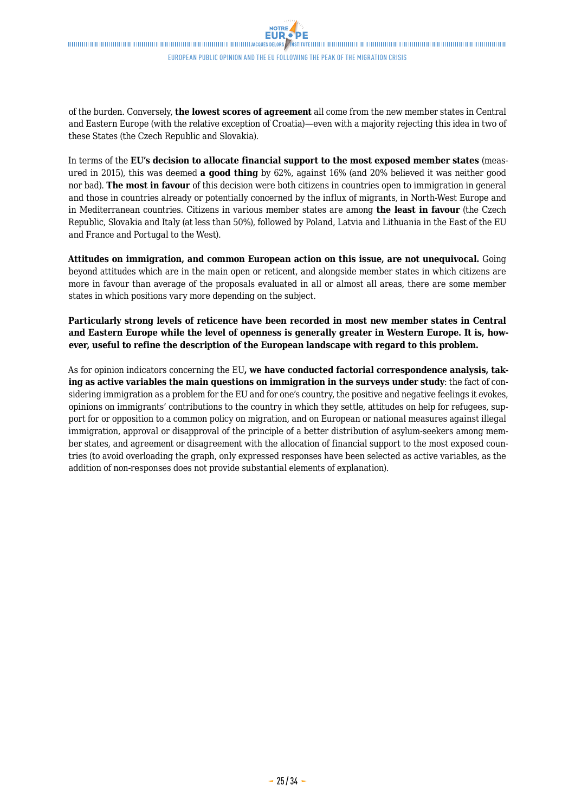of the burden. Conversely, **the lowest scores of agreement** all come from the new member states in Central and Eastern Europe (with the relative exception of Croatia)—even with a majority rejecting this idea in two of these States (the Czech Republic and Slovakia).

In terms of the **EU's decision to allocate financial support to the most exposed member states** (measured in 2015), this was deemed **a good thing** by 62%, against 16% (and 20% believed it was neither good nor bad). **The most in favour** of this decision were both citizens in countries open to immigration in general and those in countries already or potentially concerned by the influx of migrants, in North-West Europe and in Mediterranean countries. Citizens in various member states are among **the least in favour** (the Czech Republic, Slovakia and Italy (at less than 50%), followed by Poland, Latvia and Lithuania in the East of the EU and France and Portugal to the West).

**Attitudes on immigration, and common European action on this issue, are not unequivocal.** Going beyond attitudes which are in the main open or reticent, and alongside member states in which citizens are more in favour than average of the proposals evaluated in all or almost all areas, there are some member states in which positions vary more depending on the subject.

**Particularly strong levels of reticence have been recorded in most new member states in Central and Eastern Europe while the level of openness is generally greater in Western Europe. It is, however, useful to refine the description of the European landscape with regard to this problem.**

As for opinion indicators concerning the EU**, we have conducted factorial correspondence analysis, taking as active variables the main questions on immigration in the surveys under study**: the fact of considering immigration as a problem for the EU and for one's country, the positive and negative feelings it evokes, opinions on immigrants' contributions to the country in which they settle, attitudes on help for refugees, support for or opposition to a common policy on migration, and on European or national measures against illegal immigration, approval or disapproval of the principle of a better distribution of asylum-seekers among member states, and agreement or disagreement with the allocation of financial support to the most exposed countries (to avoid overloading the graph, only expressed responses have been selected as active variables, as the addition of non-responses does not provide substantial elements of explanation).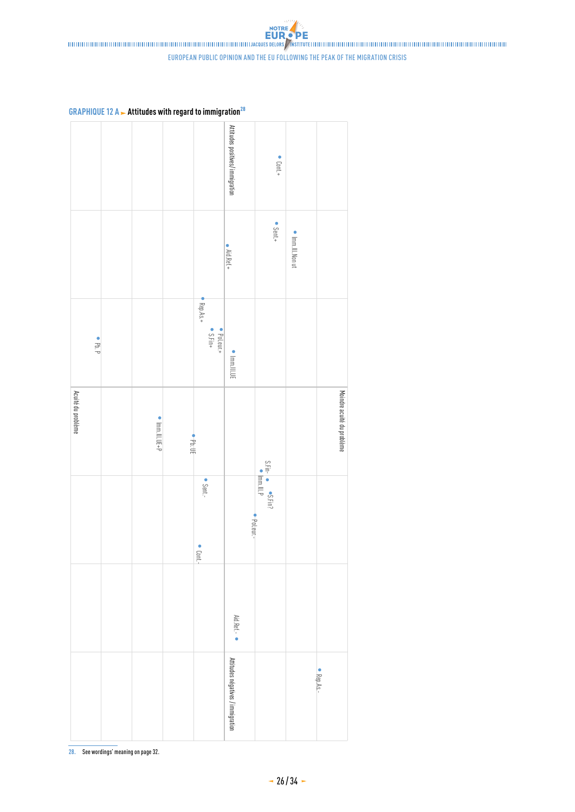european public opinion and the eu following the peak of the migration crisis

**GRAPHIQUE 12 A Attitudes with regard to immigration**<sup>28</sup>

|                    |                        |                  |                                      | Attitudes positives/ immigration  | $\bullet$ Cont.+                                  |                  |                            |
|--------------------|------------------------|------------------|--------------------------------------|-----------------------------------|---------------------------------------------------|------------------|----------------------------|
|                    |                        |                  |                                      |                                   |                                                   |                  |                            |
|                    |                        |                  |                                      | $\bullet$ Aid.Ref.+               | • Sent.+                                          | • Imm.Ill.Non ut |                            |
|                    |                        |                  |                                      |                                   |                                                   |                  |                            |
| $\bullet$ Pb. P    |                        |                  | $Rep.As.+$<br>• Poleur.+<br>• S.Fin+ |                                   |                                                   |                  |                            |
|                    |                        |                  |                                      | $\bullet$ lmm.lll.UE              |                                                   |                  |                            |
| Acuité du problème | $\bullet$ Imm.Ill.UE+P | $\bullet$ Pb: UE |                                      |                                   |                                                   |                  | Moindre acuité du problème |
|                    |                        |                  | • Sent.-                             |                                   | $S.Fin  \bullet$ $S.Fin?$<br>$\bullet$ $ mm ll!P$ |                  |                            |
|                    |                        |                  |                                      | • Pot.eur.-                       |                                                   |                  |                            |
|                    |                        |                  | Cont.-                               |                                   |                                                   |                  |                            |
|                    |                        |                  |                                      |                                   |                                                   |                  |                            |
|                    |                        |                  |                                      | Aid.Ref .-                        |                                                   |                  |                            |
|                    |                        |                  |                                      |                                   |                                                   |                  | • Rep.As.-                 |
|                    |                        |                  |                                      | Attitudes négatives / immigration |                                                   |                  |                            |

**28.** See wordings' meaning on page 32.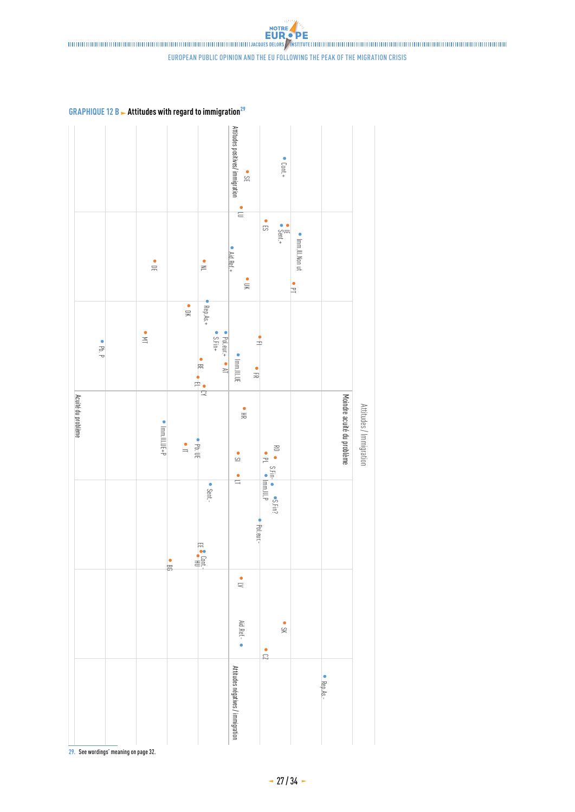european public opinion and the eu following the peak of the migration crisis

**GRAPHIQUE 12 B > Attitudes with regard to immigration**<sup>29</sup>

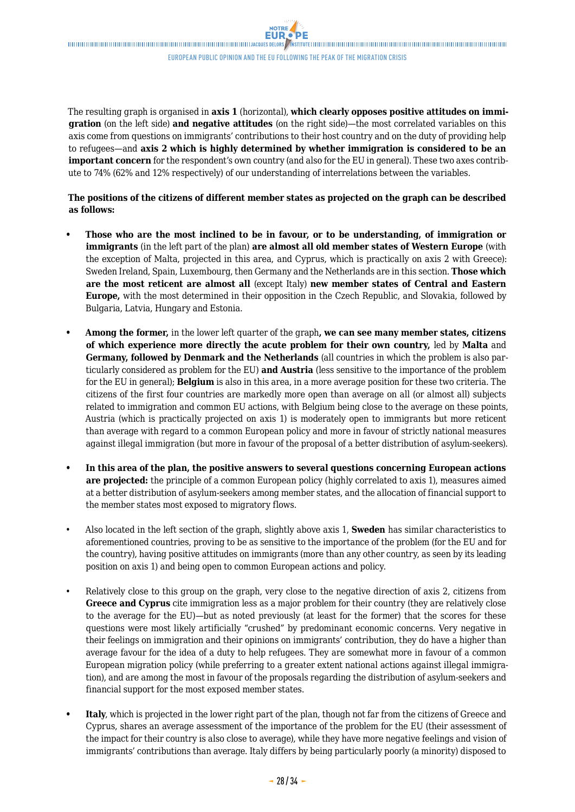The resulting graph is organised in **axis 1** (horizontal), **which clearly opposes positive attitudes on immigration** (on the left side) **and negative attitudes** (on the right side)—the most correlated variables on this axis come from questions on immigrants' contributions to their host country and on the duty of providing help to refugees—and **axis 2 which is highly determined by whether immigration is considered to be an important concern** for the respondent's own country (and also for the EU in general). These two axes contribute to 74% (62% and 12% respectively) of our understanding of interrelations between the variables.

### **The positions of the citizens of different member states as projected on the graph can be described as follows:**

- **• Those who are the most inclined to be in favour, or to be understanding, of immigration or immigrants** (in the left part of the plan) **are almost all old member states of Western Europe** (with the exception of Malta, projected in this area, and Cyprus, which is practically on axis 2 with Greece): Sweden Ireland, Spain, Luxembourg, then Germany and the Netherlands are in this section. **Those which are the most reticent are almost all** (except Italy) **new member states of Central and Eastern Europe,** with the most determined in their opposition in the Czech Republic, and Slovakia, followed by Bulgaria, Latvia, Hungary and Estonia.
- **• Among the former,** in the lower left quarter of the graph**, we can see many member states, citizens of which experience more directly the acute problem for their own country,** led by **Malta** and **Germany, followed by Denmark and the Netherlands** (all countries in which the problem is also particularly considered as problem for the EU) **and Austria** (less sensitive to the importance of the problem for the EU in general); **Belgium** is also in this area, in a more average position for these two criteria. The citizens of the first four countries are markedly more open than average on all (or almost all) subjects related to immigration and common EU actions, with Belgium being close to the average on these points, Austria (which is practically projected on axis 1) is moderately open to immigrants but more reticent than average with regard to a common European policy and more in favour of strictly national measures against illegal immigration (but more in favour of the proposal of a better distribution of asylum-seekers).
- **• In this area of the plan, the positive answers to several questions concerning European actions are projected:** the principle of a common European policy (highly correlated to axis 1), measures aimed at a better distribution of asylum-seekers among member states, and the allocation of financial support to the member states most exposed to migratory flows.
- Also located in the left section of the graph, slightly above axis 1, **Sweden** has similar characteristics to aforementioned countries, proving to be as sensitive to the importance of the problem (for the EU and for the country), having positive attitudes on immigrants (more than any other country, as seen by its leading position on axis 1) and being open to common European actions and policy.
- Relatively close to this group on the graph, very close to the negative direction of axis 2, citizens from **Greece and Cyprus** cite immigration less as a major problem for their country (they are relatively close to the average for the EU)—but as noted previously (at least for the former) that the scores for these questions were most likely artificially "crushed" by predominant economic concerns. Very negative in their feelings on immigration and their opinions on immigrants' contribution, they do have a higher than average favour for the idea of a duty to help refugees. They are somewhat more in favour of a common European migration policy (while preferring to a greater extent national actions against illegal immigration), and are among the most in favour of the proposals regarding the distribution of asylum-seekers and financial support for the most exposed member states.
- **• Italy**, which is projected in the lower right part of the plan, though not far from the citizens of Greece and Cyprus, shares an average assessment of the importance of the problem for the EU (their assessment of the impact for their country is also close to average), while they have more negative feelings and vision of immigrants' contributions than average. Italy differs by being particularly poorly (a minority) disposed to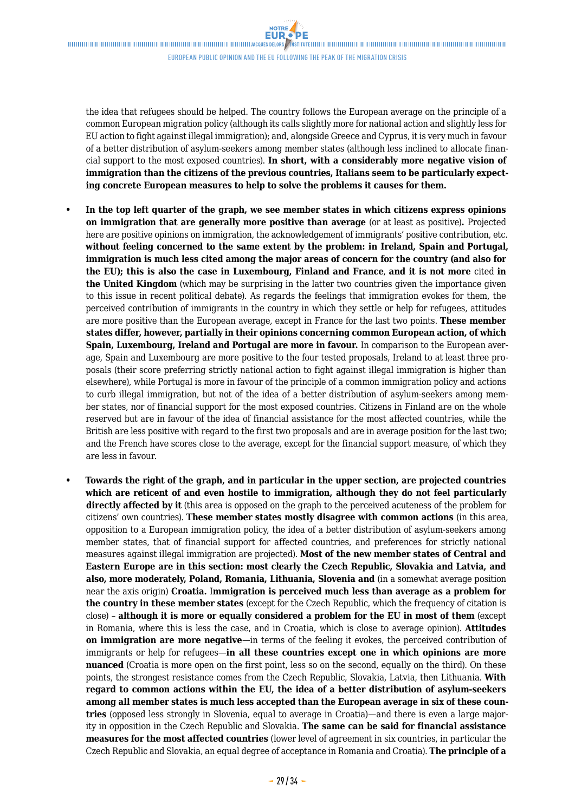$\label{thm:main} The minimum minimum minimum minimum minimum maximum number of samples. The structure of the number of samples are the same, the number of samples are the same, the number of samples are the same, the number of samples are the same, the number of samples are the same, the number of samples are the same, the number of samples are the same, the number of samples are the same, the number of samples are the same, the number of samples are the same, the number of samples are the same, the number of samples are the same, the number of samples are the same, the number of samples are the same, the number of samples are the same, the number of samples are the same, the number of samples are the same, the number of samples are the same, the number of samples are the same, the number of samples are the same, the number of samples are the same, the number of samples are the same, the number of samples are the same, the number of samples are the same, the number of samples are the$ 

european public opinion and the eu following the peak of the migration crisis

the idea that refugees should be helped. The country follows the European average on the principle of a common European migration policy (although its calls slightly more for national action and slightly less for EU action to fight against illegal immigration); and, alongside Greece and Cyprus, it is very much in favour of a better distribution of asylum-seekers among member states (although less inclined to allocate financial support to the most exposed countries). **In short, with a considerably more negative vision of immigration than the citizens of the previous countries, Italians seem to be particularly expecting concrete European measures to help to solve the problems it causes for them.**

- **• In the top left quarter of the graph, we see member states in which citizens express opinions on immigration that are generally more positive than average** (or at least as positive)**.** Projected here are positive opinions on immigration, the acknowledgement of immigrants' positive contribution, etc. **without feeling concerned to the same extent by the problem: in Ireland, Spain and Portugal, immigration is much less cited among the major areas of concern for the country (and also for the EU); this is also the case in Luxembourg, Finland and France**, **and it is not more** cited **in the United Kingdom** (which may be surprising in the latter two countries given the importance given to this issue in recent political debate). As regards the feelings that immigration evokes for them, the perceived contribution of immigrants in the country in which they settle or help for refugees, attitudes are more positive than the European average, except in France for the last two points. **These member states differ, however, partially in their opinions concerning common European action, of which Spain, Luxembourg, Ireland and Portugal are more in favour.** In comparison to the European average, Spain and Luxembourg are more positive to the four tested proposals, Ireland to at least three proposals (their score preferring strictly national action to fight against illegal immigration is higher than elsewhere), while Portugal is more in favour of the principle of a common immigration policy and actions to curb illegal immigration, but not of the idea of a better distribution of asylum-seekers among member states, nor of financial support for the most exposed countries. Citizens in Finland are on the whole reserved but are in favour of the idea of financial assistance for the most affected countries, while the British are less positive with regard to the first two proposals and are in average position for the last two; and the French have scores close to the average, except for the financial support measure, of which they are less in favour.
- **• Towards the right of the graph, and in particular in the upper section, are projected countries which are reticent of and even hostile to immigration, although they do not feel particularly directly affected by it** (this area is opposed on the graph to the perceived acuteness of the problem for citizens' own countries). **These member states mostly disagree with common actions** (in this area, opposition to a European immigration policy, the idea of a better distribution of asylum-seekers among member states, that of financial support for affected countries, and preferences for strictly national measures against illegal immigration are projected). **Most of the new member states of Central and Eastern Europe are in this section: most clearly the Czech Republic, Slovakia and Latvia, and also, more moderately, Poland, Romania, Lithuania, Slovenia and** (in a somewhat average position near the axis origin) **Croatia.** I**mmigration is perceived much less than average as a problem for the country in these member states** (except for the Czech Republic, which the frequency of citation is close) – **although it is more or equally considered a problem for the EU in most of them** (except in Romania, where this is less the case, and in Croatia, which is close to average opinion). **Attitudes on immigration are more negative**—in terms of the feeling it evokes, the perceived contribution of immigrants or help for refugees—**in all these countries except one in which opinions are more nuanced** (Croatia is more open on the first point, less so on the second, equally on the third). On these points, the strongest resistance comes from the Czech Republic, Slovakia, Latvia, then Lithuania. **With regard to common actions within the EU, the idea of a better distribution of asylum-seekers among all member states is much less accepted than the European average in six of these countries** (opposed less strongly in Slovenia, equal to average in Croatia)—and there is even a large majority in opposition in the Czech Republic and Slovakia. **The same can be said for financial assistance measures for the most affected countries** (lower level of agreement in six countries, in particular the Czech Republic and Slovakia, an equal degree of acceptance in Romania and Croatia). **The principle of a**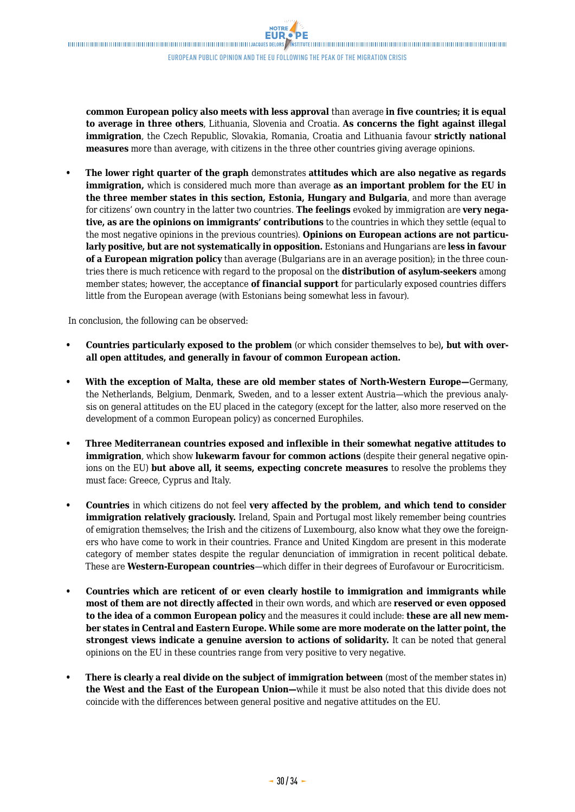**common European policy also meets with less approval** than average **in five countries; it is equal to average in three others**, Lithuania, Slovenia and Croatia. **As concerns the fight against illegal immigration**, the Czech Republic, Slovakia, Romania, Croatia and Lithuania favour **strictly national measures** more than average, with citizens in the three other countries giving average opinions.

**• The lower right quarter of the graph** demonstrates **attitudes which are also negative as regards immigration,** which is considered much more than average **as an important problem for the EU in the three member states in this section, Estonia, Hungary and Bulgaria**, and more than average for citizens' own country in the latter two countries. **The feelings** evoked by immigration are **very negative, as are the opinions on immigrants' contributions** to the countries in which they settle (equal to the most negative opinions in the previous countries). **Opinions on European actions are not particularly positive, but are not systematically in opposition.** Estonians and Hungarians are **less in favour of a European migration policy** than average (Bulgarians are in an average position); in the three countries there is much reticence with regard to the proposal on the **distribution of asylum-seekers** among member states; however, the acceptance **of financial support** for particularly exposed countries differs little from the European average (with Estonians being somewhat less in favour).

In conclusion, the following can be observed:

- **• Countries particularly exposed to the problem** (or which consider themselves to be)**, but with overall open attitudes, and generally in favour of common European action.**
- **• With the exception of Malta, these are old member states of North-Western Europe—**Germany, the Netherlands, Belgium, Denmark, Sweden, and to a lesser extent Austria—which the previous analysis on general attitudes on the EU placed in the category (except for the latter, also more reserved on the development of a common European policy) as concerned Europhiles.
- **• Three Mediterranean countries exposed and inflexible in their somewhat negative attitudes to immigration**, which show **lukewarm favour for common actions** (despite their general negative opinions on the EU) **but above all, it seems, expecting concrete measures** to resolve the problems they must face: Greece, Cyprus and Italy.
- **• Countries** in which citizens do not feel **very affected by the problem, and which tend to consider immigration relatively graciously.** Ireland, Spain and Portugal most likely remember being countries of emigration themselves; the Irish and the citizens of Luxembourg, also know what they owe the foreigners who have come to work in their countries. France and United Kingdom are present in this moderate category of member states despite the regular denunciation of immigration in recent political debate. These are **Western-European countries**—which differ in their degrees of Eurofavour or Eurocriticism.
- **• Countries which are reticent of or even clearly hostile to immigration and immigrants while most of them are not directly affected** in their own words, and which are **reserved or even opposed to the idea of a common European policy** and the measures it could include: **these are all new member states in Central and Eastern Europe. While some are more moderate on the latter point, the strongest views indicate a genuine aversion to actions of solidarity.** It can be noted that general opinions on the EU in these countries range from very positive to very negative.
- **• There is clearly a real divide on the subject of immigration between** (most of the member states in) **the West and the East of the European Union—**while it must be also noted that this divide does not coincide with the differences between general positive and negative attitudes on the EU.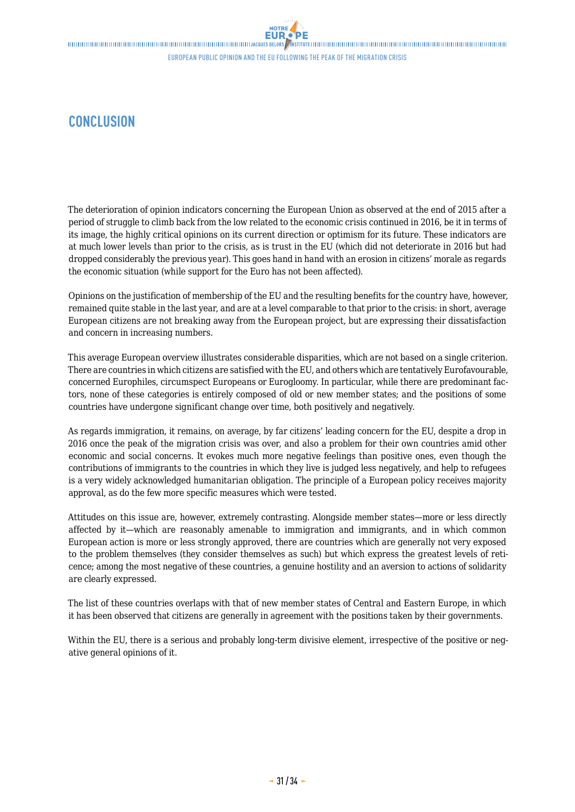## <span id="page-30-0"></span>**CONCLUSION**

The deterioration of opinion indicators concerning the European Union as observed at the end of 2015 after a period of struggle to climb back from the low related to the economic crisis continued in 2016, be it in terms of its image, the highly critical opinions on its current direction or optimism for its future. These indicators are at much lower levels than prior to the crisis, as is trust in the EU (which did not deteriorate in 2016 but had dropped considerably the previous year). This goes hand in hand with an erosion in citizens' morale as regards the economic situation (while support for the Euro has not been affected).

Opinions on the justification of membership of the EU and the resulting benefits for the country have, however, remained quite stable in the last year, and are at a level comparable to that prior to the crisis: in short, average European citizens are not breaking away from the European project, but are expressing their dissatisfaction and concern in increasing numbers.

This average European overview illustrates considerable disparities, which are not based on a single criterion. There are countries in which citizens are satisfied with the EU, and others which are tentatively Eurofavourable, concerned Europhiles, circumspect Europeans or Eurogloomy. In particular, while there are predominant factors, none of these categories is entirely composed of old or new member states; and the positions of some countries have undergone significant change over time, both positively and negatively.

As regards immigration, it remains, on average, by far citizens' leading concern for the EU, despite a drop in 2016 once the peak of the migration crisis was over, and also a problem for their own countries amid other economic and social concerns. It evokes much more negative feelings than positive ones, even though the contributions of immigrants to the countries in which they live is judged less negatively, and help to refugees is a very widely acknowledged humanitarian obligation. The principle of a European policy receives majority approval, as do the few more specific measures which were tested.

Attitudes on this issue are, however, extremely contrasting. Alongside member states—more or less directly affected by it—which are reasonably amenable to immigration and immigrants, and in which common European action is more or less strongly approved, there are countries which are generally not very exposed to the problem themselves (they consider themselves as such) but which express the greatest levels of reticence; among the most negative of these countries, a genuine hostility and an aversion to actions of solidarity are clearly expressed.

The list of these countries overlaps with that of new member states of Central and Eastern Europe, in which it has been observed that citizens are generally in agreement with the positions taken by their governments.

Within the EU, there is a serious and probably long-term divisive element, irrespective of the positive or negative general opinions of it.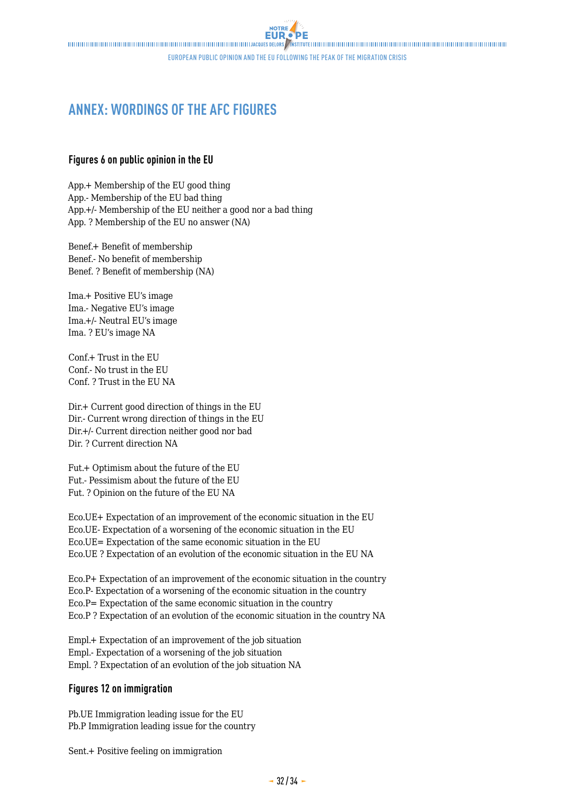## <span id="page-31-0"></span>**ANNEX: WORDINGS OF THE AFC FIGURES**

### **Figures 6 on public opinion in the EU**

App.+ Membership of the EU good thing App.- Membership of the EU bad thing App.+/- Membership of the EU neither a good nor a bad thing App. ? Membership of the EU no answer (NA)

Benef.+ Benefit of membership Benef.- No benefit of membership Benef. ? Benefit of membership (NA)

Ima.+ Positive EU's image Ima.- Negative EU's image Ima.+/- Neutral EU's image Ima. ? EU's image NA

Conf.+ Trust in the EU Conf.- No trust in the EU Conf. ? Trust in the EU NA

Dir.+ Current good direction of things in the EU Dir.- Current wrong direction of things in the EU Dir.+/- Current direction neither good nor bad Dir. ? Current direction NA

Fut.+ Optimism about the future of the EU Fut.- Pessimism about the future of the EU Fut. ? Opinion on the future of the EU NA

Eco.UE+ Expectation of an improvement of the economic situation in the EU Eco.UE- Expectation of a worsening of the economic situation in the EU Eco.UE= Expectation of the same economic situation in the EU Eco.UE ? Expectation of an evolution of the economic situation in the EU NA

Eco.P+ Expectation of an improvement of the economic situation in the country Eco.P- Expectation of a worsening of the economic situation in the country Eco.P= Expectation of the same economic situation in the country Eco.P ? Expectation of an evolution of the economic situation in the country NA

Empl.+ Expectation of an improvement of the job situation Empl.- Expectation of a worsening of the job situation Empl. ? Expectation of an evolution of the job situation NA

### **Figures 12 on immigration**

Pb.UE Immigration leading issue for the EU Pb.P Immigration leading issue for the country

Sent.+ Positive feeling on immigration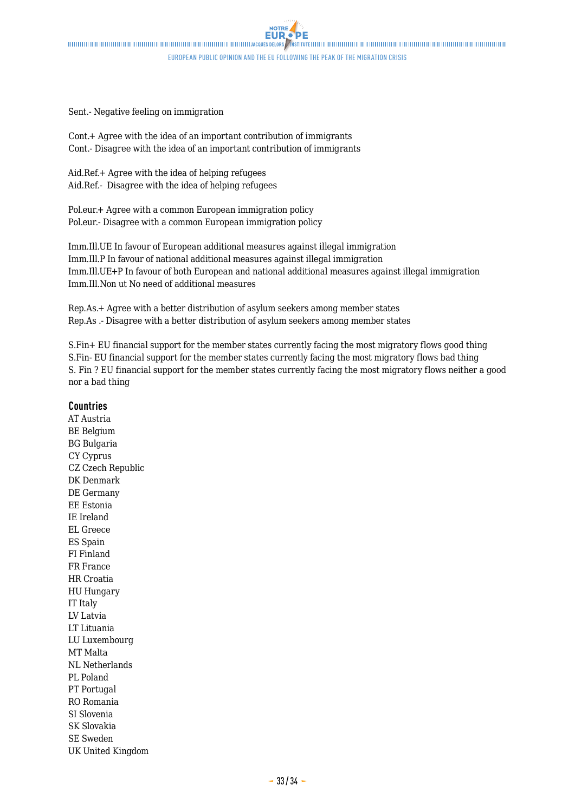Sent.- Negative feeling on immigration

Cont.+ Agree with the idea of an important contribution of immigrants Cont.- Disagree with the idea of an important contribution of immigrants

Aid.Ref.+ Agree with the idea of helping refugees Aid.Ref.- Disagree with the idea of helping refugees

Pol.eur.+ Agree with a common European immigration policy Pol.eur.- Disagree with a common European immigration policy

Imm.Ill.UE In favour of European additional measures against illegal immigration Imm.Ill.P In favour of national additional measures against illegal immigration Imm.Ill.UE+P In favour of both European and national additional measures against illegal immigration Imm.Ill.Non ut No need of additional measures

Rep.As.+ Agree with a better distribution of asylum seekers among member states Rep.As .- Disagree with a better distribution of asylum seekers among member states

S.Fin+ EU financial support for the member states currently facing the most migratory flows good thing S.Fin- EU financial support for the member states currently facing the most migratory flows bad thing S. Fin ? EU financial support for the member states currently facing the most migratory flows neither a good nor a bad thing

### **Countries**

AT Austria BE Belgium BG Bulgaria CY Cyprus CZ Czech Republic DK Denmark DE Germany EE Estonia IE Ireland EL Greece ES Spain FI Finland FR France HR Croatia HU Hungary IT Italy LV Latvia LT Lituania LU Luxembourg MT Malta NL Netherlands PL Poland PT Portugal RO Romania SI Slovenia SK Slovakia SE Sweden UK United Kingdom